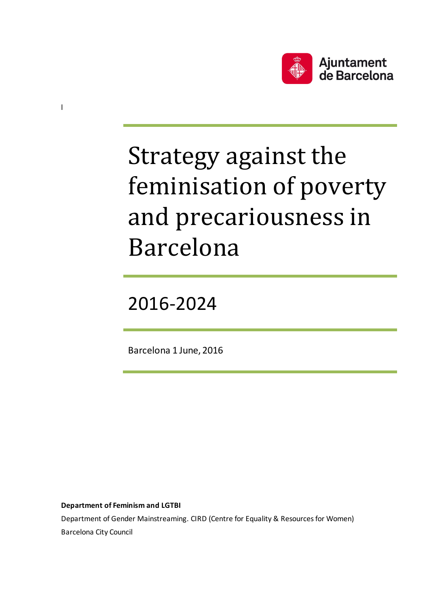

# Strategy against the feminisation of poverty and precariousness in Barcelona

2016-2024

Barcelona 1 June, 2016

**Department of Feminism and LGTBI**

l

Department of Gender Mainstreaming. CIRD (Centre for Equality & Resources for Women) Barcelona City Council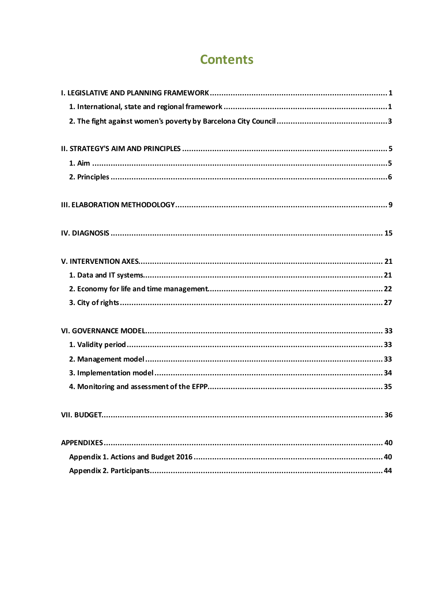## **Contents**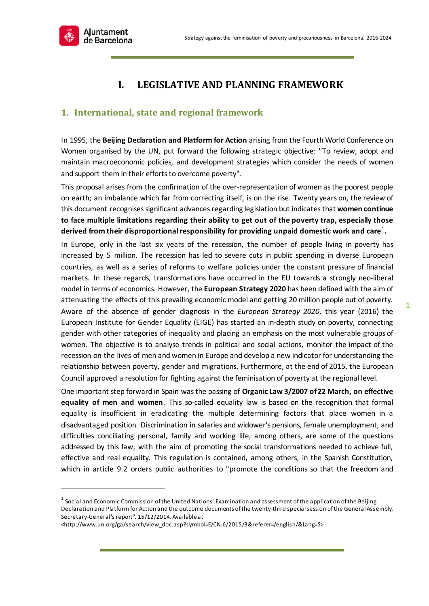

1

## **I. LEGISLATIVE AND PLANNING FRAMEWORK**

#### <span id="page-4-1"></span><span id="page-4-0"></span>**1. International, state and regional framework**

In 1995, the **Beijing Declaration and Platform for Action** arising from the Fourth World Conference on Women organised by the UN, put forward the following strategic objective: "To review, adopt and maintain macroeconomic policies, and development strategies which consider the needs of women and support them in their efforts to overcome poverty".

This proposal arises from the confirmation of the over-representation of women as the poorest people on earth; an imbalance which far from correcting itself, is on the rise. Twenty years on, the review of this document recognises significant advances regarding legislation but indicates that **women continue to face multiple limitations regarding their ability to get out of the poverty trap, especially those derived from their disproportional responsibility for providing unpaid domestic work and care**[1](#page-4-2) **.**

In Europe, only in the last six years of the recession, the number of people living in poverty has increased by 5 million. The recession has led to severe cuts in public spending in diverse European countries, as well as a series of reforms to welfare policies under the constant pressure of financial markets. In these regards, transformations have occurred in the EU towards a strongly neo-liberal model in terms of economics. However, the **European Strategy 2020** has been defined with the aim of attenuating the effects of this prevailing economic model and getting 20 million people out of poverty. Aware of the absence of gender diagnosis in the *European Strategy 2020*, this year (2016) the European Institute for Gender Equality (EIGE) has started an in-depth study on poverty, connecting gender with other categories of inequality and placing an emphasis on the most vulnerable groups of women. The objective is to analyse trends in political and social actions, monitor the impact of the recession on the lives of men and women in Europe and develop a new indicator for understanding the relationship between poverty, gender and migrations. Furthermore, at the end of 2015, the European Council approved a resolution for fighting against the feminisation of poverty at the regional level.

One important step forward in Spain was the passing of **Organic Law 3/2007 of 22 March, on effective equality of men and women**. This so-called equality law is based on the recognition that formal equality is insufficient in eradicating the multiple determining factors that place women in a disadvantaged position. Discrimination in salaries and widower's pensions, female unemployment, and difficulties conciliating personal, family and working life, among others, are some of the questions addressed by this law, with the aim of promoting the social transformations needed to achieve full, effective and real equality. This regulation is contained, among others, in the Spanish Constitution, which in article 9.2 orders public authorities to "promote the conditions so that the freedom and

<span id="page-4-2"></span> $1$  Social and Economic Commission of the United Nations "Examination and assessment of the application of the Beijing Declaration and Platform for Action and the outcome documents of the twenty-third special session of the General Assembly. Secretary-General's report". 15/12/2014. Available at

<sup>&</sup>lt;http://www.un.org/ga/search/view\_doc.asp?symbol=E/CN.6/2015/3&referer=/english/&Lang=S>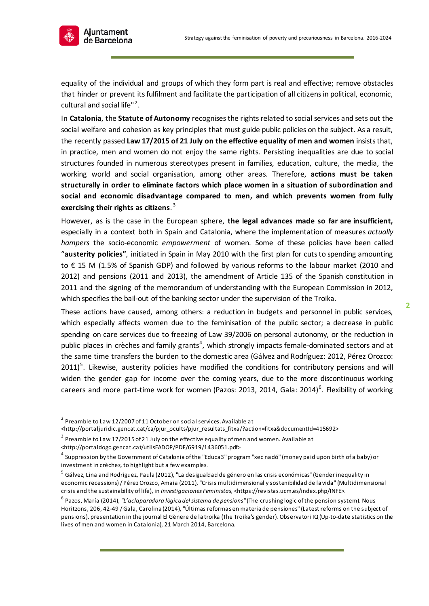

equality of the individual and groups of which they form part is real and effective; remove obstacles that hinder or prevent its fulfilment and facilitate the participation of all citizens in political, economic, cultural and social life"<sup>[2](#page-5-0)</sup>.

In **Catalonia**, the **Statute of Autonomy** recognises the rights related to social services and sets out the social welfare and cohesion as key principles that must guide public policies on the subject. As a result, the recently passed **Law 17/2015 of 21 July on the effective equality of men and women** insists that, in practice, men and women do not enjoy the same rights. Persisting inequalities are due to social structures founded in numerous stereotypes present in families, education, culture, the media, the working world and social organisation, among other areas. Therefore, **actions must be taken structurally in order to eliminate factors which place women in a situation of subordination and social and economic disadvantage compared to men, and which prevents women from fully exercising their rights as citizens**. [3](#page-5-1)

However, as is the case in the European sphere, **the legal advances made so far are insufficient,** especially in a context both in Spain and Catalonia, where the implementation of measures *actually hampers* the socio-economic *empowerment* of women. Some of these policies have been called "**austerity policies"***,* initiated in Spain in May 2010 with the first plan for cuts to spending amounting to € 15 M (1.5% of Spanish GDP) and followed by various reforms to the labour market (2010 and 2012) and pensions (2011 and 2013), the amendment of Article 135 of the Spanish constitution in 2011 and the signing of the memorandum of understanding with the European Commission in 2012, which specifies the bail-out of the banking sector under the supervision of the Troika.

These actions have caused, among others: a reduction in budgets and personnel in public services, which especially affects women due to the feminisation of the public sector; a decrease in public spending on care services due to freezing of Law 39/2006 on personal autonomy, or the reduction in public places in crèches and family grants<sup>[4](#page-5-2)</sup>, which strongly impacts female-dominated sectors and at the same time transfers the burden to the domestic area (Gálvez and Rodríguez: 2012, Pérez Orozco:  $2011$ <sup>[5](#page-5-3)</sup>. Likewise, austerity policies have modified the conditions for contributory pensions and will widen the gender gap for income over the coming years, due to the more discontinuous working careers and more part-time work for women (Pazos: 2013, 2014, Gala: 2014)<sup>[6](#page-5-4)</sup>. Flexibility of working

<span id="page-5-0"></span> <sup>2</sup> Preamble to Law 12/2007 of 11 October on social services. Available at

<sup>&</sup>lt;http://portaljuridic.gencat.cat/ca/pjur\_ocults/pjur\_resultats\_fitxa/?action=fitxa&documentId=415692>

 $3$  Preamble to Law 17/2015 of 21 July on the effective equality of men and women. Available at

<span id="page-5-1"></span><sup>&</sup>lt;http://portaldogc.gencat.cat/utilsEADOP/PDF/6919/1436051.pdf>

<span id="page-5-2"></span> $^4$  Suppression by the Government of Catalonia of the "Educa3" program "xec nadó" (money paid upon birth of a baby) or investment in crèches, to highlight but a few examples.

<span id="page-5-3"></span><sup>5</sup> Gálvez, Lina and Rodríguez, Paula (2012), "La desigualdad de género en las crisis económicas" (Gender inequality in economic recessions) / Pérez Orozco, Amaia (2011), "Crisis multidimensional y sostenibilidad de la vida" (Multidimensional crisis and the sustainability of life), in *Investigaciones Feministas,* <https://revistas.ucm.es/index.php/INFE>.

<span id="page-5-4"></span><sup>6</sup> Pazos, María (2014), *"L'aclaparadora lògica del sistema de pensions"* (The crushing logic of the pension system). Nous Horitzons, 206, 42-49 / Gala, Carolina (2014), "Últimas reformas en materia de pensiones" (Latest reforms on the subject of pensions), presentation in the journal El Gènere de la troika (The Troika's gender)*.* Observatori IQ (Up-to-date statistics on the lives of men and women in Catalonia), 21 March 2014, Barcelona.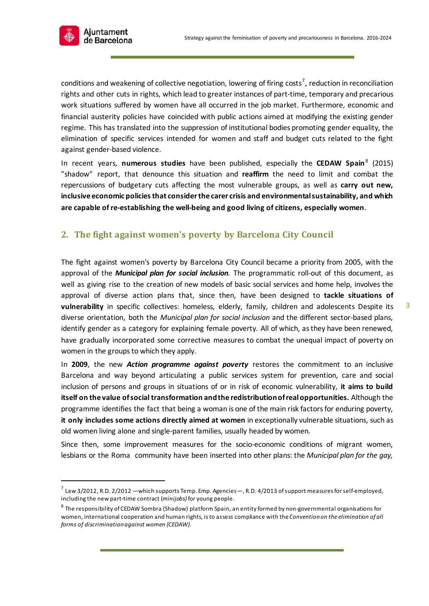

conditions and weakening of collective negotiation, lowering of firing costs<sup>[7](#page-6-1)</sup>, reduction in reconciliation rights and other cuts in rights, which lead to greater instances of part-time, temporary and precarious work situations suffered by women have all occurred in the job market. Furthermore, economic and financial austerity policies have coincided with public actions aimed at modifying the existing gender regime. This has translated into the suppression of institutional bodies promoting gender equality, the elimination of specific services intended for women and staff and budget cuts related to the fight against gender-based violence.

In recent years, **numerous studies** have been published, especially the **CEDAW Spain**[8](#page-6-2) (2015) "shadow" report, that denounce this situation and **reaffirm** the need to limit and combat the repercussions of budgetary cuts affecting the most vulnerable groups, as well as **carry out new, inclusive economic policies that consider the carer crisis and environmental sustainability, and which are capable of re-establishing the well-being and good living of citizens, especially women**.

## <span id="page-6-0"></span>**2. The fight against women's poverty by Barcelona City Council**

The fight against women's poverty by Barcelona City Council became a priority from 2005, with the approval of the *Municipal plan for social inclusion.* The programmatic roll-out of this document, as well as giving rise to the creation of new models of basic social services and home help, involves the approval of diverse action plans that, since then, have been designed to **tackle situations of vulnerability** in specific collectives: homeless, elderly, family, children and adolescents Despite its diverse orientation, both the *Municipal plan for social inclusion* and the different sector-based plans, identify gender as a category for explaining female poverty. All of which, as they have been renewed, have gradually incorporated some corrective measures to combat the unequal impact of poverty on women in the groups to which they apply.

In **2009**, the new *Action programme against poverty* restores the commitment to an inclusive Barcelona and way beyond articulating a public services system for prevention, care and social inclusion of persons and groups in situations of or in risk of economic vulnerability, **it aims to build itself on the value of social transformation and the redistribution of real opportunities.** Although the programme identifies the fact that being a woman is one of the main risk factors for enduring poverty, **it only includes some actions directly aimed at women** in exceptionally vulnerable situations, such as old women living alone and single-parent families, usually headed by women.

Since then, some improvement measures for the socio-economic conditions of migrant women, lesbians or the Roma community have been inserted into other plans: the *Municipal plan for the gay,* 

<span id="page-6-1"></span> $^7$  Law 3/2012, R.D. 2/2012 —which supports Temp. Emp. Agencies —, R.D. 4/2013 of support measures for self-employed, including the new part-time contract (*minijobs)*for young people.

<span id="page-6-2"></span> $8$  The responsibility of CEDAW Sombra (Shadow) platform Spain, an entity formed by non-governmental organisations for women, international cooperation and human rights, is to assess compliance with the *Convention on the elimination of all forms of discrimination against women (CEDAW)*.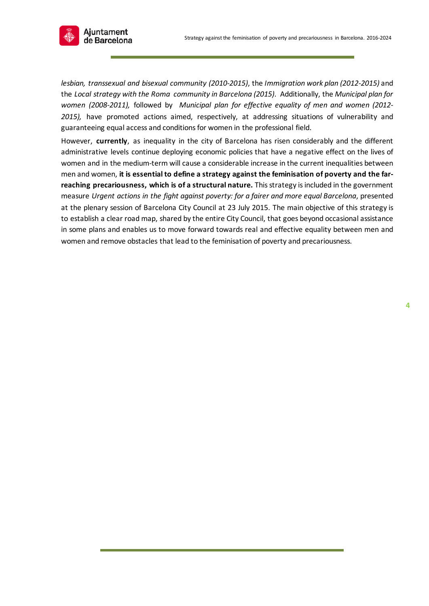

*lesbian, transsexual and bisexual community (2010-2015)*, the *Immigration work plan (2012-2015)* and the *Local strategy with the Roma community in Barcelona (2015)*. Additionally, the *Municipal plan for women (2008-2011),* followed by *Municipal plan for effective equality of men and women (2012- 2015),* have promoted actions aimed, respectively, at addressing situations of vulnerability and guaranteeing equal access and conditions for women in the professional field.

However, **currently**, as inequality in the city of Barcelona has risen considerably and the different administrative levels continue deploying economic policies that have a negative effect on the lives of women and in the medium-term will cause a considerable increase in the current inequalities between men and women, **it is essential to define a strategy against the feminisation of poverty and the farreaching precariousness, which is of a structural nature.** This strategy is included in the government measure *Urgent actions in the fight against poverty: for a fairer and more equal Barcelona*, presented at the plenary session of Barcelona City Council at 23 July 2015. The main objective of this strategy is to establish a clear road map, shared by the entire City Council, that goes beyond occasional assistance in some plans and enables us to move forward towards real and effective equality between men and women and remove obstacles that lead to the feminisation of poverty and precariousness.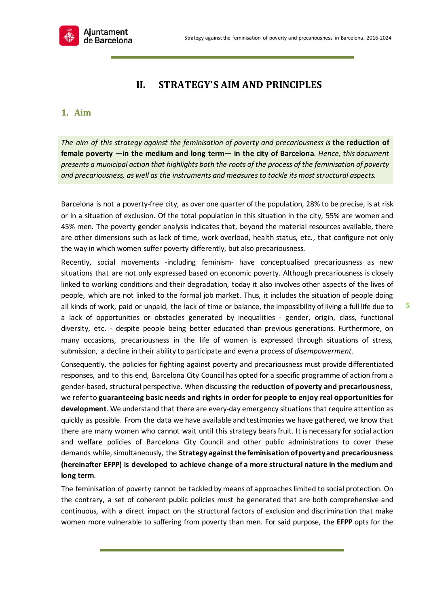

## **II. STRATEGY'S AIM AND PRINCIPLES**

#### <span id="page-8-1"></span><span id="page-8-0"></span>**1. Aim**

*The aim of this strategy against the feminisation of poverty and precariousness is* **the reduction of female poverty —in the medium and long term— in the city of Barcelona***. Hence, this document presents a municipal action that highlights both the roots of the process of the feminisation of poverty and precariousness, as well as the instruments and measures to tackle its most structural aspects.*

Barcelona is not a poverty-free city, as over one quarter of the population, 28% to be precise, is at risk or in a situation of exclusion. Of the total population in this situation in the city, 55% are women and 45% men. The poverty gender analysis indicates that, beyond the material resources available, there are other dimensions such as lack of time, work overload, health status, etc., that configure not only the way in which women suffer poverty differently, but also precariousness.

Recently, social movements -including feminism- have conceptualised precariousness as new situations that are not only expressed based on economic poverty. Although precariousness is closely linked to working conditions and their degradation, today it also involves other aspects of the lives of people, which are not linked to the formal job market. Thus, it includes the situation of people doing all kinds of work, paid or unpaid, the lack of time or balance, the impossibility of living a full life due to a lack of opportunities or obstacles generated by inequalities - gender, origin, class, functional diversity, etc. - despite people being better educated than previous generations. Furthermore, on many occasions, precariousness in the life of women is expressed through situations of stress, submission, a decline in their ability to participate and even a process of *disempowerment*.

Consequently, the policies for fighting against poverty and precariousness must provide differentiated responses, and to this end, Barcelona City Council has opted for a specific programme of action from a gender-based, structural perspective. When discussing the **reduction of poverty and precariousness**, we refer to **guaranteeing basic needs and rights in order for people to enjoy real opportunities for development**. We understand that there are every-day emergency situations that require attention as quickly as possible. From the data we have available and testimonies we have gathered, we know that there are many women who cannot wait until this strategy bears fruit. It is necessary for social action and welfare policies of Barcelona City Council and other public administrations to cover these demands while, simultaneously, the **Strategy against the feminisation of poverty and precariousness (hereinafter EFPP) is developed to achieve change of a more structural nature in the medium and long term**.

The feminisation of poverty cannot be tackled by means of approaches limited to social protection. On the contrary, a set of coherent public policies must be generated that are both comprehensive and continuous, with a direct impact on the structural factors of exclusion and discrimination that make women more vulnerable to suffering from poverty than men. For said purpose, the **EFPP** opts for the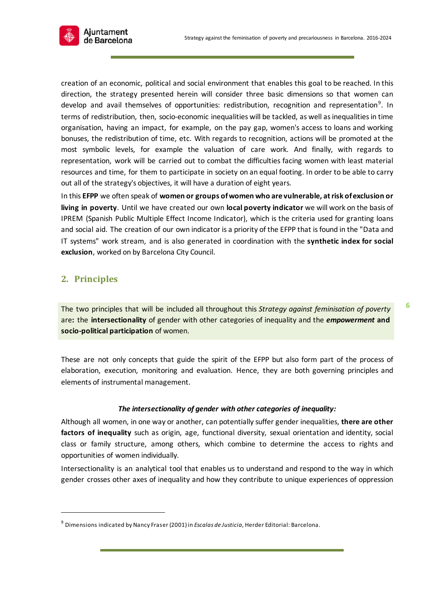

creation of an economic, political and social environment that enables this goal to be reached. In this direction, the strategy presented herein will consider three basic dimensions so that women can develop and avail themselves of opportunities: redistribution, recognition and representation<sup>[9](#page-9-1)</sup>. In terms of redistribution, then, socio-economic inequalities will be tackled, as well as inequalities in time organisation, having an impact, for example, on the pay gap, women's access to loans and working bonuses, the redistribution of time, etc. With regards to recognition, actions will be promoted at the most symbolic levels, for example the valuation of care work. And finally, with regards to representation, work will be carried out to combat the difficulties facing women with least material resources and time, for them to participate in society on an equal footing. In order to be able to carry out all of the strategy's objectives, it will have a duration of eight years.

In this **EFPP** we often speak of **women or groups of women who are vulnerable, at risk of exclusion or living in poverty**. Until we have created our own **local poverty indicator** we will work on the basis of IPREM (Spanish Public Multiple Effect Income Indicator), which is the criteria used for granting loans and social aid. The creation of our own indicator is a priority of the EFPP that is found in the "Data and IT systems" work stream, and is also generated in coordination with the **synthetic index for social exclusion**, worked on by Barcelona City Council.

## <span id="page-9-0"></span>**2. Principles**

1

The two principles that will be included all throughout this *Strategy against feminisation of poverty*  are**:** the **intersectionality** of gender with other categories of inequality and the *empowerment* **and socio-political participation** of women.

These are not only concepts that guide the spirit of the EFPP but also form part of the process of elaboration, execution, monitoring and evaluation. Hence, they are both governing principles and elements of instrumental management.

#### *The intersectionality of gender with other categories of inequality:*

Although all women, in one way or another, can potentially suffer gender inequalities, **there are other factors of inequality** such as origin, age, functional diversity, sexual orientation and identity, social class or family structure, among others, which combine to determine the access to rights and opportunities of women individually.

Intersectionality is an analytical tool that enables us to understand and respond to the way in which gender crosses other axes of inequality and how they contribute to unique experiences of oppression

<span id="page-9-1"></span><sup>9</sup> Dimensions indicated by Nancy Fraser (2001) in *Escalas de Justicia*, Herder Editorial: Barcelona.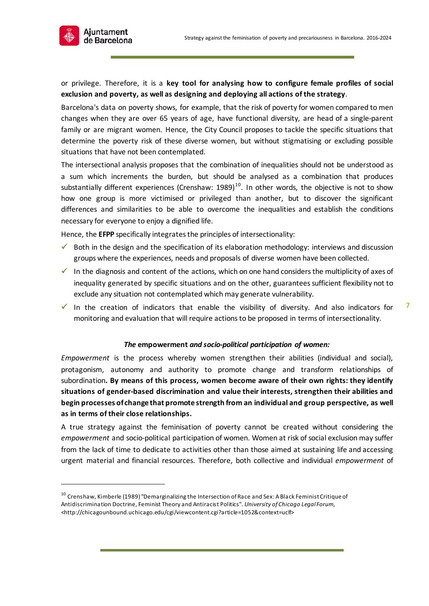

1

#### or privilege. Therefore, it is a **key tool for analysing how to configure female profiles of social exclusion and poverty, as well as designing and deploying all actions of the strategy**.

Barcelona's data on poverty shows, for example, that the risk of poverty for women compared to men changes when they are over 65 years of age, have functional diversity, are head of a single-parent family or are migrant women. Hence, the City Council proposes to tackle the specific situations that determine the poverty risk of these diverse women, but without stigmatising or excluding possible situations that have not been contemplated.

The intersectional analysis proposes that the combination of inequalities should not be understood as a sum which increments the burden, but should be analysed as a combination that produces substantially different experiences (Crenshaw:  $1989$ )<sup>[10](#page-10-0)</sup>. In other words, the objective is not to show how one group is more victimised or privileged than another, but to discover the significant differences and similarities to be able to overcome the inequalities and establish the conditions necessary for everyone to enjoy a dignified life.

Hence, the **EFPP** specifically integrates the principles of intersectionality:

- $\checkmark$  Both in the design and the specification of its elaboration methodology: interviews and discussion groups where the experiences, needs and proposals of diverse women have been collected.
- In the diagnosis and content of the actions, which on one hand considers the multiplicity of axes of inequality generated by specific situations and on the other, guarantees sufficient flexibility not to exclude any situation not contemplated which may generate vulnerability.
- In the creation of indicators that enable the visibility of diversity. And also indicators for monitoring and evaluation that will require actions to be proposed in terms of intersectionality.

#### *The* **empowerment** *and socio-political participation of women:*

*Empowerment* is the process whereby women strengthen their abilities (individual and social), protagonism, autonomy and authority to promote change and transform relationships of subordination**. By means of this process, women become aware of their own rights: they identify situations of gender-based discrimination and value their interests, strengthen their abilities and begin processes of change that promote strength from an individual and group perspective, as well as in terms of their close relationships.**

A true strategy against the feminisation of poverty cannot be created without considering the *empowerment* and socio-political participation of women. Women at risk of social exclusion may suffer from the lack of time to dedicate to activities other than those aimed at sustaining life and accessing urgent material and financial resources. Therefore, both collective and individual *empowerment* of

<span id="page-10-0"></span> $^{10}$  Crenshaw, Kimberle (1989) "Demarginalizing the Intersection of Race and Sex: A Black Feminist Critique of Antidiscrimination Doctrine, Feminist Theory and Antiracist Politics". *University of Chicago Legal Forum,*  <http://chicagounbound.uchicago.edu/cgi/viewcontent.cgi?article=1052&context=uclf>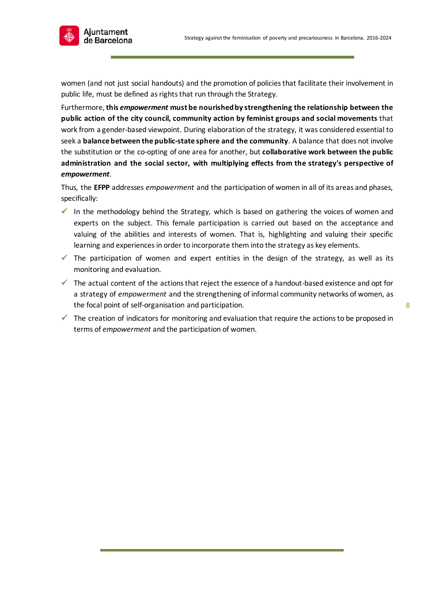

women (and not just social handouts) and the promotion of policies that facilitate their involvement in public life, must be defined as rights that run through the Strategy.

Furthermore, **this** *empowerment* **must be nourished by strengthening the relationship between the public action of the city council, community action by feminist groups and social movements** that work from a gender-based viewpoint. During elaboration of the strategy, it was considered essential to seek a **balance between the public-state sphere and the community**. A balance that does not involve the substitution or the co-opting of one area for another, but **collaborative work between the public administration and the social sector, with multiplying effects from the strategy's perspective of**  *empowerment*.

Thus, the **EFPP** addresses *empowerment* and the participation of women in all of its areas and phases, specifically:

- In the methodology behind the Strategy, which is based on gathering the voices of women and experts on the subject. This female participation is carried out based on the acceptance and valuing of the abilities and interests of women. That is, highlighting and valuing their specific learning and experiences in order to incorporate them into the strategy as key elements.
- The participation of women and expert entities in the design of the strategy, as well as its monitoring and evaluation.
- The actual content of the actions that reject the essence of a handout-based existence and opt for a strategy of *empowerment* and the strengthening of informal community networks of women, as the focal point of self-organisation and participation.
- The creation of indicators for monitoring and evaluation that require the actions to be proposed in terms of *empowerment* and the participation of women.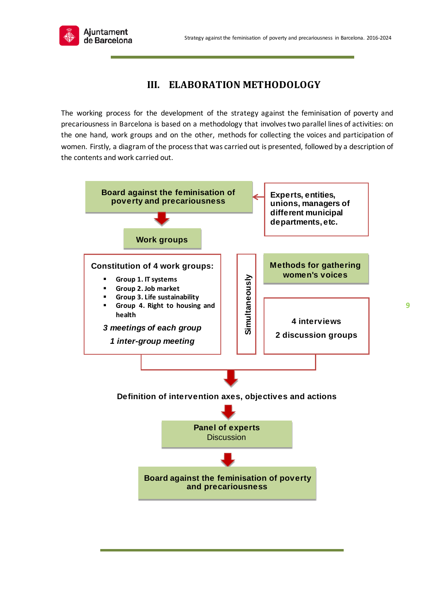

## **III. ELABORATION METHODOLOGY**

<span id="page-12-0"></span>The working process for the development of the strategy against the feminisation of poverty and precariousness in Barcelona is based on a methodology that involves two parallel lines of activities: on the one hand, work groups and on the other, methods for collecting the voices and participation of women. Firstly, a diagram of the process that was carried out is presented, followed by a description of the contents and work carried out.

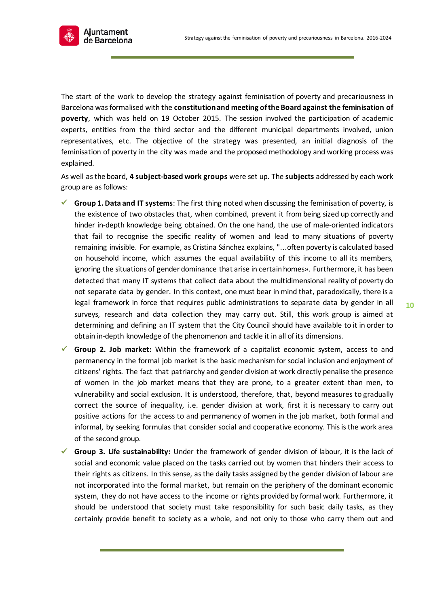

The start of the work to develop the strategy against feminisation of poverty and precariousness in Barcelona was formalised with the **constitution and meeting of the Board against the feminisation of poverty**, which was held on 19 October 2015. The session involved the participation of academic experts, entities from the third sector and the different municipal departments involved, union representatives, etc. The objective of the strategy was presented, an initial diagnosis of the feminisation of poverty in the city was made and the proposed methodology and working process was explained.

As well as the board, **4 subject-based work groups** were set up. The **subjects** addressed by each work group are as follows:

- **Group 1. Data and IT systems**: The first thing noted when discussing the feminisation of poverty, is the existence of two obstacles that, when combined, prevent it from being sized up correctly and hinder in-depth knowledge being obtained. On the one hand, the use of male-oriented indicators that fail to recognise the specific reality of women and lead to many situations of poverty remaining invisible. For example, as Cristina Sánchez explains, "...often poverty is calculated based on household income, which assumes the equal availability of this income to all its members, ignoring the situations of gender dominance that arise in certain homes». Furthermore, it has been detected that many IT systems that collect data about the multidimensional reality of poverty do not separate data by gender. In this context, one must bear in mind that, paradoxically, there is a legal framework in force that requires public administrations to separate data by gender in all surveys, research and data collection they may carry out. Still, this work group is aimed at determining and defining an IT system that the City Council should have available to it in order to obtain in-depth knowledge of the phenomenon and tackle it in all of its dimensions.
- **Group 2. Job market:** Within the framework of a capitalist economic system, access to and permanency in the formal job market is the basic mechanism for social inclusion and enjoyment of citizens' rights. The fact that patriarchy and gender division at work directly penalise the presence of women in the job market means that they are prone, to a greater extent than men, to vulnerability and social exclusion. It is understood, therefore, that, beyond measures to gradually correct the source of inequality, i.e. gender division at work, first it is necessary to carry out positive actions for the access to and permanency of women in the job market, both formal and informal, by seeking formulas that consider social and cooperative economy. This is the work area of the second group.
- **Group 3. Life sustainability:** Under the framework of gender division of labour, it is the lack of social and economic value placed on the tasks carried out by women that hinders their access to their rights as citizens. In this sense, as the daily tasks assigned by the gender division of labour are not incorporated into the formal market, but remain on the periphery of the dominant economic system, they do not have access to the income or rights provided by formal work. Furthermore, it should be understood that society must take responsibility for such basic daily tasks, as they certainly provide benefit to society as a whole, and not only to those who carry them out and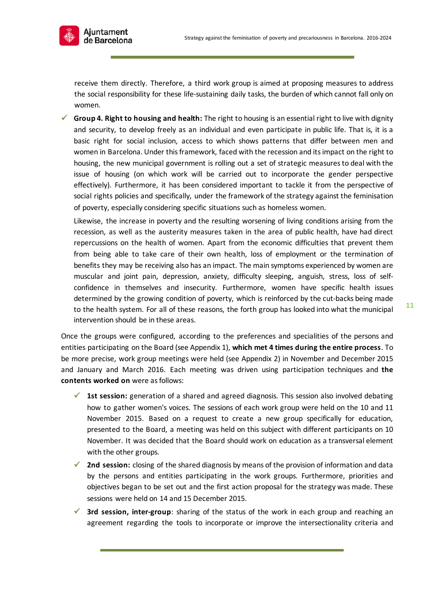

receive them directly. Therefore, a third work group is aimed at proposing measures to address the social responsibility for these life-sustaining daily tasks, the burden of which cannot fall only on women.

 **Group 4. Right to housing and health:** The right to housing is an essential right to live with dignity and security, to develop freely as an individual and even participate in public life. That is, it is a basic right for social inclusion, access to which shows patterns that differ between men and women in Barcelona. Under this framework, faced with the recession and its impact on the right to housing, the new municipal government is rolling out a set of strategic measures to deal with the issue of housing (on which work will be carried out to incorporate the gender perspective effectively). Furthermore, it has been considered important to tackle it from the perspective of social rights policies and specifically, under the framework of the strategy against the feminisation of poverty, especially considering specific situations such as homeless women.

Likewise, the increase in poverty and the resulting worsening of living conditions arising from the recession, as well as the austerity measures taken in the area of public health, have had direct repercussions on the health of women. Apart from the economic difficulties that prevent them from being able to take care of their own health, loss of employment or the termination of benefits they may be receiving also has an impact. The main symptoms experienced by women are muscular and joint pain, depression, anxiety, difficulty sleeping, anguish, stress, loss of selfconfidence in themselves and insecurity. Furthermore, women have specific health issues determined by the growing condition of poverty, which is reinforced by the cut-backs being made to the health system. For all of these reasons, the forth group has looked into what the municipal intervention should be in these areas.

Once the groups were configured, according to the preferences and specialities of the persons and entities participating on the Board (see Appendix 1), **which met 4 times during the entire process**. To be more precise, work group meetings were held (see Appendix 2) in November and December 2015 and January and March 2016. Each meeting was driven using participation techniques and **the contents worked on** were as follows:

- **1st session:** generation of a shared and agreed diagnosis. This session also involved debating how to gather women's voices. The sessions of each work group were held on the 10 and 11 November 2015. Based on a request to create a new group specifically for education, presented to the Board, a meeting was held on this subject with different participants on 10 November. It was decided that the Board should work on education as a transversal element with the other groups.
- **2nd session:** closing of the shared diagnosis by means of the provision of information and data by the persons and entities participating in the work groups. Furthermore, priorities and objectives began to be set out and the first action proposal for the strategy was made. These sessions were held on 14 and 15 December 2015.
- **3rd session, inter-group**: sharing of the status of the work in each group and reaching an agreement regarding the tools to incorporate or improve the intersectionality criteria and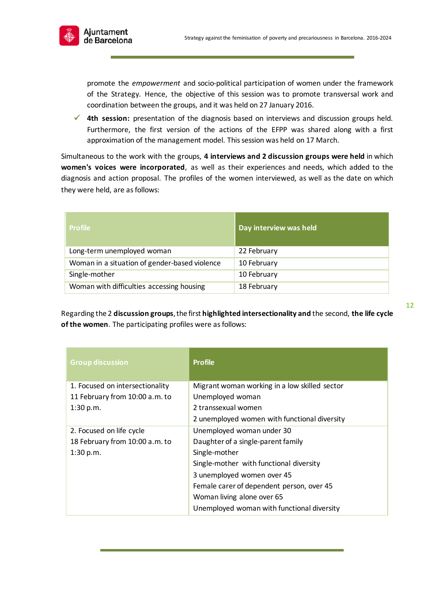

promote the *empowerment* and socio-political participation of women under the framework of the Strategy. Hence, the objective of this session was to promote transversal work and coordination between the groups, and it was held on 27 January 2016.

 **4th session:** presentation of the diagnosis based on interviews and discussion groups held. Furthermore, the first version of the actions of the EFPP was shared along with a first approximation of the management model. This session was held on 17 March.

Simultaneous to the work with the groups, **4 interviews and 2 discussion groups were held** in which **women's voices were incorporated**, as well as their experiences and needs, which added to the diagnosis and action proposal. The profiles of the women interviewed, as well as the date on which they were held, are as follows:

| <b>Profile</b>                                | Day interview was held |
|-----------------------------------------------|------------------------|
| Long-term unemployed woman                    | 22 February            |
| Woman in a situation of gender-based violence | 10 February            |
| Single-mother                                 | 10 February            |
| Woman with difficulties accessing housing     | 18 February            |

Regarding the 2 **discussion groups**, the first **highlighted intersectionality and** the second, **the life cycle of the women**. The participating profiles were as follows:

| <b>Group discussion</b>         | <b>Profile</b>                                |
|---------------------------------|-----------------------------------------------|
| 1. Focused on intersectionality | Migrant woman working in a low skilled sector |
| 11 February from 10:00 a.m. to  | Unemployed woman                              |
| 1:30 p.m.                       | 2 transsexual women                           |
|                                 | 2 unemployed women with functional diversity  |
| 2. Focused on life cycle        | Unemployed woman under 30                     |
| 18 February from 10:00 a.m. to  | Daughter of a single-parent family            |
| $1:30$ p.m.                     | Single-mother                                 |
|                                 | Single-mother with functional diversity       |
|                                 | 3 unemployed women over 45                    |
|                                 | Female carer of dependent person, over 45     |
|                                 | Woman living alone over 65                    |
|                                 | Unemployed woman with functional diversity    |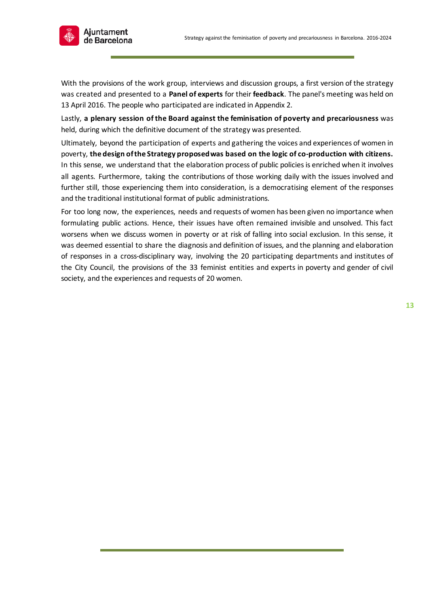

With the provisions of the work group, interviews and discussion groups, a first version of the strategy was created and presented to a **Panel of experts** for their **feedback**. The panel's meeting was held on 13 April 2016. The people who participated are indicated in Appendix 2.

Lastly, **a plenary session of the Board against the feminisation of poverty and precariousness** was held, during which the definitive document of the strategy was presented.

Ultimately, beyond the participation of experts and gathering the voices and experiences of women in poverty, **the design of the Strategy proposed was based on the logic of co-production with citizens.** In this sense, we understand that the elaboration process of public policies is enriched when it involves all agents. Furthermore, taking the contributions of those working daily with the issues involved and further still, those experiencing them into consideration, is a democratising element of the responses and the traditional institutional format of public administrations.

For too long now, the experiences, needs and requests of women has been given no importance when formulating public actions. Hence, their issues have often remained invisible and unsolved. This fact worsens when we discuss women in poverty or at risk of falling into social exclusion. In this sense, it was deemed essential to share the diagnosis and definition of issues, and the planning and elaboration of responses in a cross-disciplinary way, involving the 20 participating departments and institutes of the City Council, the provisions of the 33 feminist entities and experts in poverty and gender of civil society, and the experiences and requests of 20 women.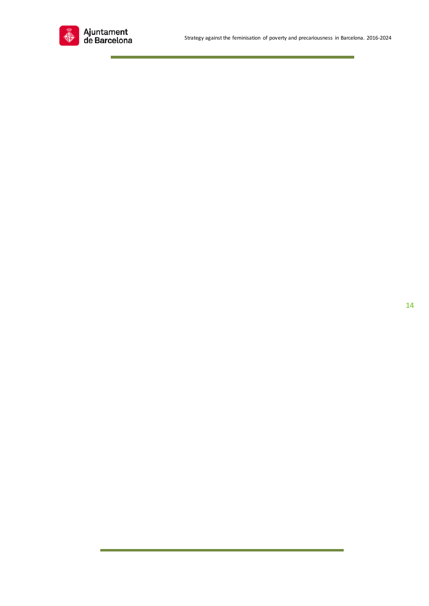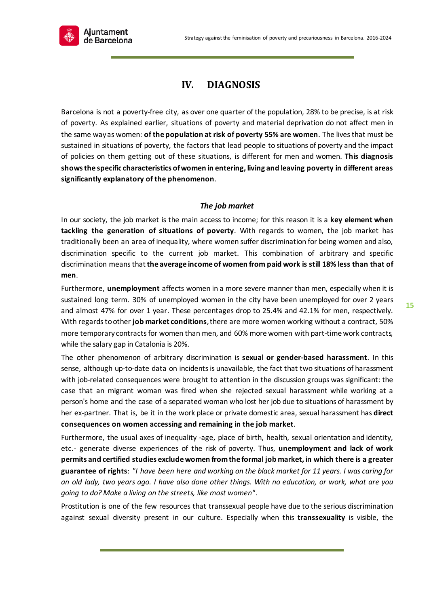

#### **IV. DIAGNOSIS**

<span id="page-18-0"></span>Barcelona is not a poverty-free city, as over one quarter of the population, 28% to be precise, is at risk of poverty. As explained earlier, situations of poverty and material deprivation do not affect men in the same way as women: **of the population at risk of poverty 55% are women**. The lives that must be sustained in situations of poverty, the factors that lead people to situations of poverty and the impact of policies on them getting out of these situations, is different for men and women. **This diagnosis shows the specific characteristics of women in entering, living and leaving poverty in different areas significantly explanatory of the phenomenon**.

#### *The job market*

In our society, the job market is the main access to income; for this reason it is a **key element when tackling the generation of situations of poverty**. With regards to women, the job market has traditionally been an area of inequality, where women suffer discrimination for being women and also, discrimination specific to the current job market. This combination of arbitrary and specific discrimination means that **the average income of women from paid work is still 18% less than that of men**.

Furthermore, **unemployment** affects women in a more severe manner than men, especially when it is sustained long term. 30% of unemployed women in the city have been unemployed for over 2 years and almost 47% for over 1 year. These percentages drop to 25.4% and 42.1% for men, respectively. With regards to other **job market conditions**, there are more women working without a contract, 50% more temporary contracts for women than men, and 60% more women with part-time work contracts, while the salary gap in Catalonia is 20%.

The other phenomenon of arbitrary discrimination is **sexual or gender-based harassment**. In this sense, although up-to-date data on incidents is unavailable, the fact that two situations of harassment with job-related consequences were brought to attention in the discussion groups was significant: the case that an migrant woman was fired when she rejected sexual harassment while working at a person's home and the case of a separated woman who lost her job due to situations of harassment by her ex-partner. That is, be it in the work place or private domestic area, sexual harassment has **direct consequences on women accessing and remaining in the job market**.

Furthermore, the usual axes of inequality -age, place of birth, health, sexual orientation and identity, etc.- generate diverse experiences of the risk of poverty. Thus, **unemployment and lack of work permits and certified studies exclude women from the formal job market, in which there is a greater guarantee of rights**: *"I have been here and working on the black market for 11 years. I was caring for an old lady, two years ago. I have also done other things. With no education, or work, what are you going to do? Make a living on the streets, like most women"*.

Prostitution is one of the few resources that transsexual people have due to the serious discrimination against sexual diversity present in our culture. Especially when this **transsexuality** is visible, the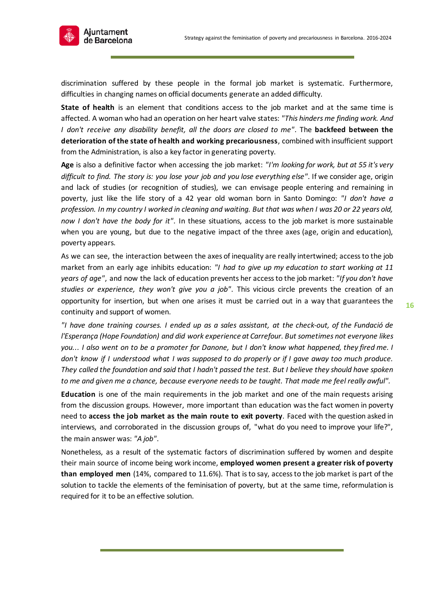

discrimination suffered by these people in the formal job market is systematic. Furthermore, difficulties in changing names on official documents generate an added difficulty.

**State of health** is an element that conditions access to the job market and at the same time is affected. A woman who had an operation on her heart valve states: *"This hinders me finding work. And I don't receive any disability benefit, all the doors are closed to me"*. The **backfeed between the deterioration of the state of health and working precariousness**, combined with insufficient support from the Administration, is also a key factor in generating poverty.

**Age** is also a definitive factor when accessing the job market: *"I'm looking for work, but at 55 it's very difficult to find. The story is: you lose your job and you lose everything else"*. If we consider age, origin and lack of studies (or recognition of studies), we can envisage people entering and remaining in poverty, just like the life story of a 42 year old woman born in Santo Domingo: *"I don't have a profession. In my country I worked in cleaning and waiting. But that was when I was 20 or 22 years old, now I don't have the body for it"*. In these situations, access to the job market is more sustainable when you are young, but due to the negative impact of the three axes (age, origin and education), poverty appears.

As we can see, the interaction between the axes of inequality are really intertwined; access to the job market from an early age inhibits education: *"I had to give up my education to start working at 11 years of age"*, and now the lack of education prevents her access to the job market: *"If you don't have studies or experience, they won't give you a job"*. This vicious circle prevents the creation of an opportunity for insertion, but when one arises it must be carried out in a way that guarantees the continuity and support of women.

*"I have done training courses. I ended up as a sales assistant, at the check-out, of the Fundació de l'Esperança (Hope Foundation) and did work experience at Carrefour. But sometimes not everyone likes you... I also went on to be a promoter for Danone, but I don't know what happened, they fired me. I don't know if I understood what I was supposed to do properly or if I gave away too much produce. They called the foundation and said that I hadn't passed the test. But I believe they should have spoken to me and given me a chance, because everyone needs to be taught. That made me feel really awful".*

**Education** is one of the main requirements in the job market and one of the main requests arising from the discussion groups. However, more important than education was the fact women in poverty need to **access the job market as the main route to exit poverty**. Faced with the question asked in interviews, and corroborated in the discussion groups of, "what do you need to improve your life?", the main answer was: *"A job"*.

Nonetheless, as a result of the systematic factors of discrimination suffered by women and despite their main source of income being work income, **employed women present a greater risk of poverty than employed men** (14%, compared to 11.6%). That is to say, access to the job market is part of the solution to tackle the elements of the feminisation of poverty, but at the same time, reformulation is required for it to be an effective solution.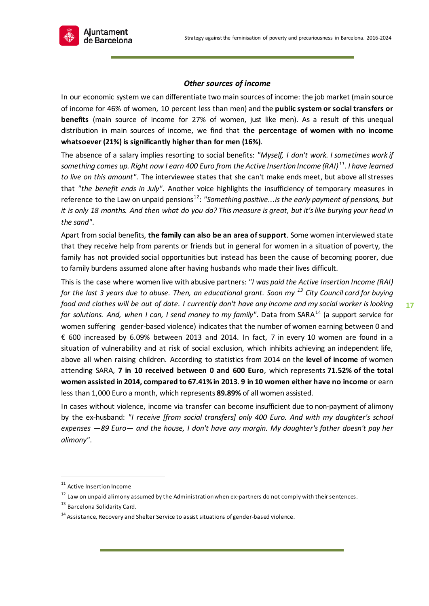

#### *Other sources of income*

In our economic system we can differentiate two main sources of income: the job market (main source of income for 46% of women, 10 percent less than men) and the **public system or social transfers or benefits** (main source of income for 27% of women, just like men). As a result of this unequal distribution in main sources of income, we find that **the percentage of women with no income whatsoever (21%) is significantly higher than for men (16%)**.

The absence of a salary implies resorting to social benefits: *"Myself, I don't work. I sometimes work if something comes up. Right now I earn 400 Euro from the Active Insertion Income (RAI)[11](#page-20-0). I have learned to live on this amount".* The interviewee states that she can't make ends meet, but above all stresses that *"the benefit ends in July"*. Another voice highlights the insufficiency of temporary measures in reference to the Law on unpaid pensions<sup>12</sup>: "Something positive...is the early payment of pensions, but *it is only 18 months. And then what do you do? This measure is great, but it's like burying your head in the sand"*.

Apart from social benefits, **the family can also be an area of support**. Some women interviewed state that they receive help from parents or friends but in general for women in a situation of poverty, the family has not provided social opportunities but instead has been the cause of becoming poorer, due to family burdens assumed alone after having husbands who made their lives difficult.

This is the case where women live with abusive partners: *"I was paid the Active Insertion Income (RAI) for the last 3 years due to abuse. Then, an educational grant. Soon my [13](#page-20-2) City Council card for buying food and clothes will be out of date. I currently don't have any income and my social worker is looking for solutions. And, when I can, I send money to my family".* Data from SARA<sup>[14](#page-20-3)</sup> (a support service for women suffering gender-based violence) indicates that the number of women earning between 0 and € 600 increased by 6.09% between 2013 and 2014. In fact, 7 in every 10 women are found in a situation of vulnerability and at risk of social exclusion, which inhibits achieving an independent life, above all when raising children. According to statistics from 2014 on the **level of income** of women attending SARA, **7 in 10 received between 0 and 600 Euro**, which represents **71.52% of the total women assisted in 2014, compared to 67.41% in 2013**. **9 in 10 women either have no income** or earn less than 1,000 Euro a month, which represents **89.89%** of all women assisted.

In cases without violence, income via transfer can become insufficient due to non-payment of alimony by the ex-husband: *"I receive [from social transfers] only 400 Euro. And with my daughter's school expenses —89 Euro— and the house, I don't have any margin. My daughter's father doesn't pay her alimony"*.

<span id="page-20-0"></span><sup>&</sup>lt;sup>11</sup> Active Insertion Income

<span id="page-20-1"></span> $12$  Law on unpaid alimony assumed by the Administration when ex-partners do not comply with their sentences.

<span id="page-20-2"></span><sup>&</sup>lt;sup>13</sup> Barcelona Solidarity Card.

<span id="page-20-3"></span><sup>&</sup>lt;sup>14</sup> Assistance, Recovery and Shelter Service to assist situations of gender-based violence.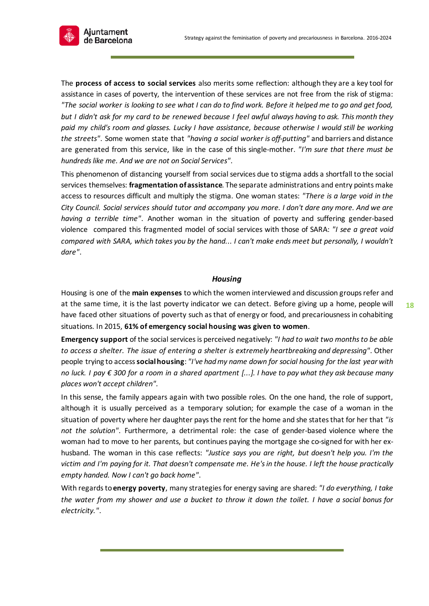

The **process of access to social services** also merits some reflection: although they are a key tool for assistance in cases of poverty, the intervention of these services are not free from the risk of stigma: *"The social worker is looking to see what I can do to find work. Before it helped me to go and get food, but I didn't ask for my card to be renewed because I feel awful always having to ask. This month they paid my child's room and glasses. Lucky I have assistance, because otherwise I would still be working the streets"*. Some women state that *"having a social worker is off-putting"* and barriers and distance are generated from this service, like in the case of this single-mother. *"I'm sure that there must be hundreds like me. And we are not on Social Services"*.

This phenomenon of distancing yourself from social services due to stigma adds a shortfall to the social services themselves: **fragmentation of assistance**. The separate administrations and entry points make access to resources difficult and multiply the stigma. One woman states: *"There is a large void in the City Council. Social services should tutor and accompany you more. I don't dare any more. And we are having a terrible time"*. Another woman in the situation of poverty and suffering gender-based violence compared this fragmented model of social services with those of SARA: *"I see a great void compared with SARA, which takes you by the hand... I can't make ends meet but personally, I wouldn't dare"*.

#### *Housing*

Housing is one of the **main expenses** to which the women interviewed and discussion groups refer and at the same time, it is the last poverty indicator we can detect. Before giving up a home, people will have faced other situations of poverty such as that of energy or food, and precariousness in cohabiting situations. In 2015, **61% of emergency social housing was given to women**.

**Emergency support** of the social services is perceived negatively: *"I had to wait two months to be able to access a shelter. The issue of entering a shelter is extremely heartbreaking and depressing"*. Other people trying to access **social housing**: *"I've had my name down for social housing for the last year with no luck. I pay € 300 for a room in a shared apartment [...]. I have to pay what they ask because many places won't accept children".*

In this sense, the family appears again with two possible roles. On the one hand, the role of support, although it is usually perceived as a temporary solution; for example the case of a woman in the situation of poverty where her daughter pays the rent for the home and she states that for her that *"is not the solution"*. Furthermore, a detrimental role: the case of gender-based violence where the woman had to move to her parents, but continues paying the mortgage she co-signed for with her exhusband. The woman in this case reflects: *"Justice says you are right, but doesn't help you. I'm the victim and I'm paying for it. That doesn't compensate me. He's in the house. I left the house practically empty handed. Now I can't go back home"*.

With regards to **energy poverty**, many strategies for energy saving are shared: *"I do everything, I take the water from my shower and use a bucket to throw it down the toilet. I have a social bonus for electricity."*.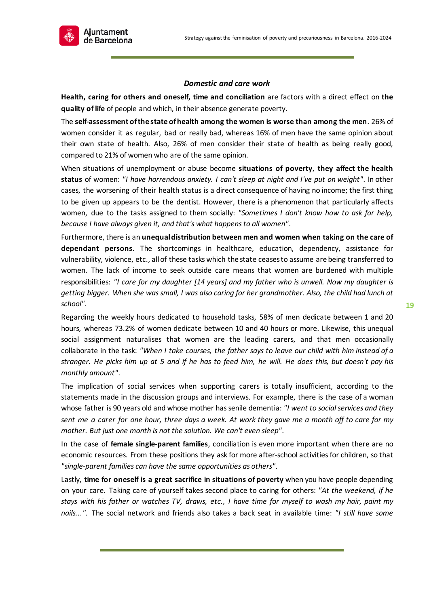

#### *Domestic and care work*

**Health, caring for others and oneself, time and conciliation** are factors with a direct effect on **the quality of life** of people and which, in their absence generate poverty.

The **self-assessment of the state of health among the women is worse than among the men**. 26% of women consider it as regular, bad or really bad, whereas 16% of men have the same opinion about their own state of health. Also, 26% of men consider their state of health as being really good, compared to 21% of women who are of the same opinion.

When situations of unemployment or abuse become **situations of poverty**, **they affect the health status** of women: *"I have horrendous anxiety. I can't sleep at night and I've put on weight"*. In other cases, the worsening of their health status is a direct consequence of having no income; the first thing to be given up appears to be the dentist. However, there is a phenomenon that particularly affects women, due to the tasks assigned to them socially: *"Sometimes I don't know how to ask for help, because I have always given it, and that's what happens to all women"*.

Furthermore, there is an **unequal distribution between men and women when taking on the care of dependant persons**. The shortcomings in healthcare, education, dependency, assistance for vulnerability, violence, etc., all of these tasks which the state ceases to assume are being transferred to women. The lack of income to seek outside care means that women are burdened with multiple responsibilities: *"I care for my daughter [14 years] and my father who is unwell. Now my daughter is getting bigger. When she was small, I was also caring for her grandmother. Also, the child had lunch at school"*.

Regarding the weekly hours dedicated to household tasks, 58% of men dedicate between 1 and 20 hours, whereas 73.2% of women dedicate between 10 and 40 hours or more. Likewise, this unequal social assignment naturalises that women are the leading carers, and that men occasionally collaborate in the task: *"When I take courses, the father says to leave our child with him instead of a stranger. He picks him up at 5 and if he has to feed him, he will. He does this, but doesn't pay his monthly amount"*.

The implication of social services when supporting carers is totally insufficient, according to the statements made in the discussion groups and interviews. For example, there is the case of a woman whose father is 90 years old and whose mother has senile dementia: *"I went to social services and they sent me a carer for one hour, three days a week. At work they gave me a month off to care for my mother. But just one month is not the solution. We can't even sleep"*.

In the case of **female single-parent families**, conciliation is even more important when there are no economic resources. From these positions they ask for more after-school activities for children, so that *"single-parent families can have the same opportunities as others"*.

Lastly, **time for oneself is a great sacrifice in situations of poverty** when you have people depending on your care. Taking care of yourself takes second place to caring for others: *"At the weekend, if he stays with his father or watches TV, draws, etc., I have time for myself to wash my hair, paint my nails...".* The social network and friends also takes a back seat in available time: *"I still have some*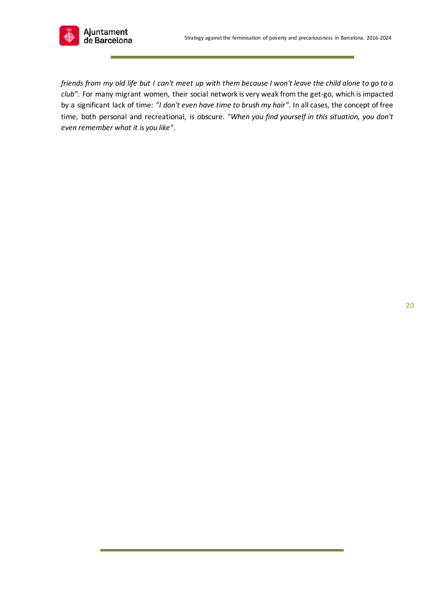

*friends from my old life but I can't meet up with them because I won't leave the child alone to go to a club"*. For many migrant women, their social network is very weak from the get-go, which is impacted by a significant lack of time: *"I don't even have time to brush my hair"*. In all cases, the concept of free time, both personal and recreational, is obscure. *"When you find yourself in this situation, you don't even remember what it is you like"*.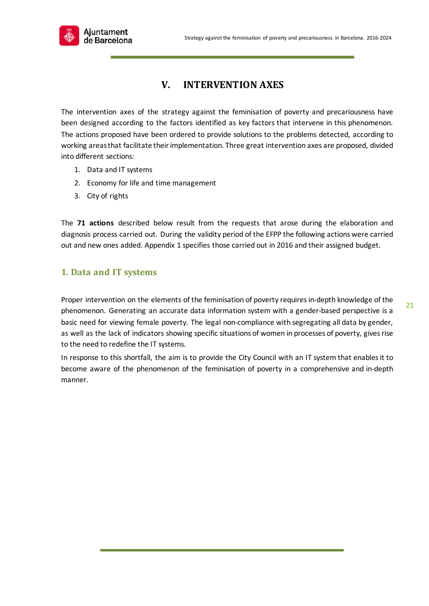

## **V. INTERVENTION AXES**

<span id="page-24-0"></span>The intervention axes of the strategy against the feminisation of poverty and precariousness have been designed according to the factors identified as key factors that intervene in this phenomenon. The actions proposed have been ordered to provide solutions to the problems detected, according to working areas that facilitate their implementation. Three great intervention axes are proposed, divided into different sections:

- 1. Data and IT systems
- 2. Economy for life and time management
- 3. City of rights

The **71 actions** described below result from the requests that arose during the elaboration and diagnosis process carried out. During the validity period of the EFPP the following actions were carried out and new ones added. Appendix 1 specifies those carried out in 2016 and their assigned budget.

#### <span id="page-24-1"></span>**1. Data and IT systems**

Proper intervention on the elements of the feminisation of poverty requires in-depth knowledge of the phenomenon. Generating an accurate data information system with a gender-based perspective is a basic need for viewing female poverty. The legal non-compliance with segregating all data by gender, as well as the lack of indicators showing specific situations of women in processes of poverty, gives rise to the need to redefine the IT systems.

In response to this shortfall, the aim is to provide the City Council with an IT system that enables it to become aware of the phenomenon of the feminisation of poverty in a comprehensive and in-depth manner.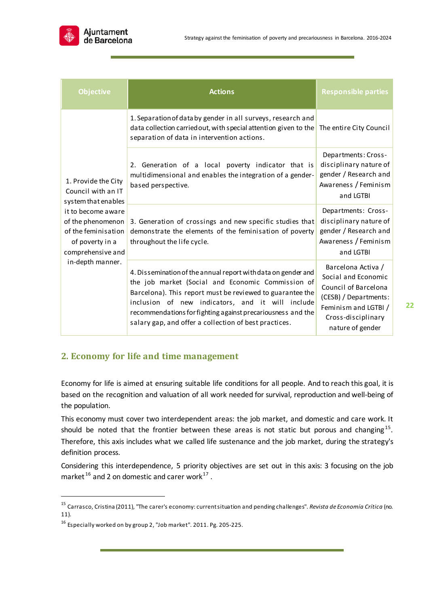| <b>Objective</b>                                                                                                                                                                               | <b>Actions</b>                                                                                                                                                                                                                                                                                                                                              | <b>Responsible parties</b>                                                                                                                                   |
|------------------------------------------------------------------------------------------------------------------------------------------------------------------------------------------------|-------------------------------------------------------------------------------------------------------------------------------------------------------------------------------------------------------------------------------------------------------------------------------------------------------------------------------------------------------------|--------------------------------------------------------------------------------------------------------------------------------------------------------------|
|                                                                                                                                                                                                | 1. Separation of data by gender in all surveys, research and<br>data collection carried out, with special attention given to the<br>separation of data in intervention actions.                                                                                                                                                                             | The entire City Council                                                                                                                                      |
| 1. Provide the City<br>Council with an IT<br>system that enables<br>it to become aware<br>of the phenomenon<br>of the feminisation<br>of poverty in a<br>comprehensive and<br>in-depth manner. | 2. Generation of a local poverty indicator that is<br>multidimensional and enables the integration of a gender-<br>based perspective.                                                                                                                                                                                                                       | Departments: Cross-<br>disciplinary nature of<br>gender / Research and<br>Awareness / Feminism<br>and LGTBI                                                  |
|                                                                                                                                                                                                | 3. Generation of crossings and new specific studies that<br>demonstrate the elements of the feminisation of poverty<br>throughout the life cycle.                                                                                                                                                                                                           | Departments: Cross-<br>disciplinary nature of<br>gender / Research and<br>Awareness / Feminism<br>and LGTBI                                                  |
|                                                                                                                                                                                                | 4. Dissemination of the annual report with data on gender and<br>the job market (Social and Economic Commission of<br>Barcelona). This report must be reviewed to guarantee the<br>inclusion of new indicators, and it will include<br>recommendations for fighting against precariousness and the<br>salary gap, and offer a collection of best practices. | Barcelona Activa /<br>Social and Economic<br>Council of Barcelona<br>(CESB) / Departments:<br>Feminism and LGTBI /<br>Cross-disciplinary<br>nature of gender |

## <span id="page-25-0"></span>**2. Economy for life and time management**

Economy for life is aimed at ensuring suitable life conditions for all people. And to reach this goal, it is based on the recognition and valuation of all work needed for survival, reproduction and well-being of the population.

This economy must cover two interdependent areas: the job market, and domestic and care work. It should be noted that the frontier between these areas is not static but porous and changing<sup>[15](#page-25-1)</sup>. Therefore, this axis includes what we called life sustenance and the job market, during the strategy's definition process.

Considering this interdependence, 5 priority objectives are set out in this axis: 3 focusing on the job market<sup>[16](#page-25-2)</sup> and 2 on domestic and carer work<sup>[17](#page-25-2)</sup>.

<span id="page-25-1"></span> <sup>15</sup> Carrasco, Cristina (2011), "The carer's economy: current situation and pending challenges". *Revista de Economía Crítica* (no. 11).

<span id="page-25-2"></span> $^{16}$  Especially worked on by group 2, "Job market". 2011. Pg. 205-225.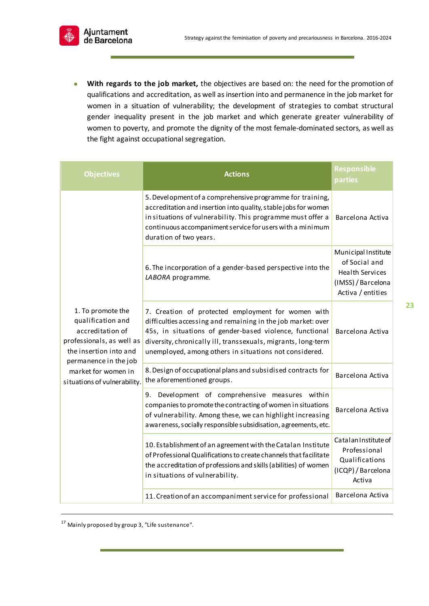

• **With regards to the job market,** the objectives are based on: the need for the promotion of qualifications and accreditation, as well as insertion into and permanence in the job market for women in a situation of vulnerability; the development of strategies to combat structural gender inequality present in the job market and which generate greater vulnerability of women to poverty, and promote the dignity of the most female-dominated sectors, as well as the fight against occupational segregation.

| <b>Objectives</b>                                                                                                                          | <b>Actions</b>                                                                                                                                                                                                                                                                                           | <b>Responsible</b><br>parties                                                                             |
|--------------------------------------------------------------------------------------------------------------------------------------------|----------------------------------------------------------------------------------------------------------------------------------------------------------------------------------------------------------------------------------------------------------------------------------------------------------|-----------------------------------------------------------------------------------------------------------|
| 1. To promote the<br>qualification and<br>accreditation of<br>professionals, as well as<br>the insertion into and<br>permanence in the job | 5. Development of a comprehensive programme for training,<br>accreditation and insertion into quality, stable jobs for women<br>in situations of vulnerability. This programme must offer a<br>continuous accompaniment service for users with a minimum<br>duration of two years.                       | Barcelona Activa                                                                                          |
|                                                                                                                                            | 6. The incorporation of a gender-based perspective into the<br>LABORA programme.                                                                                                                                                                                                                         | Municipal Institute<br>of Social and<br><b>Health Services</b><br>(IMSS) / Barcelona<br>Activa / entities |
|                                                                                                                                            | 7. Creation of protected employment for women with<br>difficulties accessing and remaining in the job market: over<br>45s, in situations of gender-based violence, functional<br>diversity, chronically ill, transsexuals, migrants, long-term<br>unemployed, among others in situations not considered. | Barcelona Activa                                                                                          |
| market for women in<br>situations of vulnerability.                                                                                        | 8. Design of occupational plans and subsidised contracts for<br>the aforementioned groups.                                                                                                                                                                                                               | Barcelona Activa                                                                                          |
|                                                                                                                                            | 9.<br>Development of comprehensive measures within<br>companies to promote the contracting of women in situations<br>of vulnerability. Among these, we can highlight increasing<br>awareness, socially responsible subsidisation, agreements, etc.                                                       | Barcelona Activa                                                                                          |
|                                                                                                                                            | 10. Establishment of an agreement with the Catalan Institute<br>of Professional Qualifications to create channels that facilitate<br>the accreditation of professions and skills (abilities) of women<br>in situations of vulnerability.                                                                 | Catal an Institute of<br>Professional<br>Qualifications<br>(ICQP) / Barcelona<br>Activa                   |
|                                                                                                                                            | 11. Creation of an accompaniment service for professional                                                                                                                                                                                                                                                | Barcelona Activa                                                                                          |

 $17$  Mainly proposed by group 3, "Life sustenance".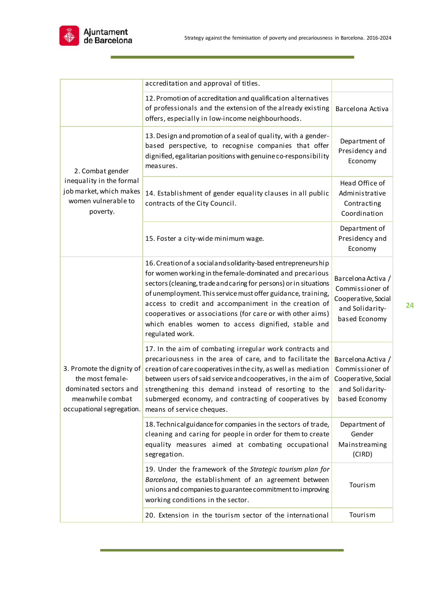|                                                                                                                         | accreditation and approval of titles.                                                                                                                                                                                                                                                                                                                                                                                                                            |                                                                                                  |
|-------------------------------------------------------------------------------------------------------------------------|------------------------------------------------------------------------------------------------------------------------------------------------------------------------------------------------------------------------------------------------------------------------------------------------------------------------------------------------------------------------------------------------------------------------------------------------------------------|--------------------------------------------------------------------------------------------------|
|                                                                                                                         | 12. Promotion of accreditation and qualification alternatives<br>of professionals and the extension of the already existing<br>offers, especially in low-income neighbourhoods.                                                                                                                                                                                                                                                                                  | Barcelona Activa                                                                                 |
| 2. Combat gender                                                                                                        | 13. Design and promotion of a seal of quality, with a gender-<br>based perspective, to recognise companies that offer<br>dignified, egalitarian positions with genuine co-responsibility<br>measures.                                                                                                                                                                                                                                                            | Department of<br>Presidency and<br>Economy                                                       |
| inequality in the formal<br>job market, which makes<br>women vulnerable to<br>poverty.                                  | 14. Establishment of gender equality clauses in all public<br>contracts of the City Council.                                                                                                                                                                                                                                                                                                                                                                     | Head Office of<br>Administrative<br>Contracting<br>Coordination                                  |
|                                                                                                                         | 15. Foster a city-wide minimum wage.                                                                                                                                                                                                                                                                                                                                                                                                                             | Department of<br>Presidency and<br>Economy                                                       |
|                                                                                                                         | 16. Creation of a social and solidarity-based entrepreneurship<br>for women working in the female-dominated and precarious<br>sectors (cleaning, trade and caring for persons) or in situations<br>of unemployment. This service must offer guidance, training,<br>access to credit and accompaniment in the creation of<br>cooperatives or associations (for care or with other aims)<br>which enables women to access dignified, stable and<br>regulated work. | Barcelona Activa /<br>Commissioner of<br>Cooperative, Social<br>and Solidarity-<br>based Economy |
| 3. Promote the dignity of<br>the most female-<br>dominated sectors and<br>meanwhile combat<br>occupational segregation. | 17. In the aim of combating irregular work contracts and<br>precariousness in the area of care, and to facilitate the<br>creation of care cooperatives in the city, as well as mediation<br>between users of said service and cooperatives, in the aim of<br>strengthening this demand instead of resorting to the<br>submerged economy, and contracting of cooperatives by<br>means of service cheques.                                                         | Barcelona Activa /<br>Commissioner of<br>Cooperative, Social<br>and Solidarity-<br>based Economy |
|                                                                                                                         | 18. Technical guidance for companies in the sectors of trade,<br>cleaning and caring for people in order for them to create<br>equality measures aimed at combating occupational<br>segregation.                                                                                                                                                                                                                                                                 | Department of<br>Gender<br>Mainstreaming<br>(CIRD)                                               |
|                                                                                                                         | 19. Under the framework of the Strategic tourism plan for<br>Barcelona, the establishment of an agreement between<br>unions and companies to guarantee commitment to improving<br>working conditions in the sector.                                                                                                                                                                                                                                              | Tourism                                                                                          |
|                                                                                                                         | 20. Extension in the tourism sector of the international                                                                                                                                                                                                                                                                                                                                                                                                         | Tourism                                                                                          |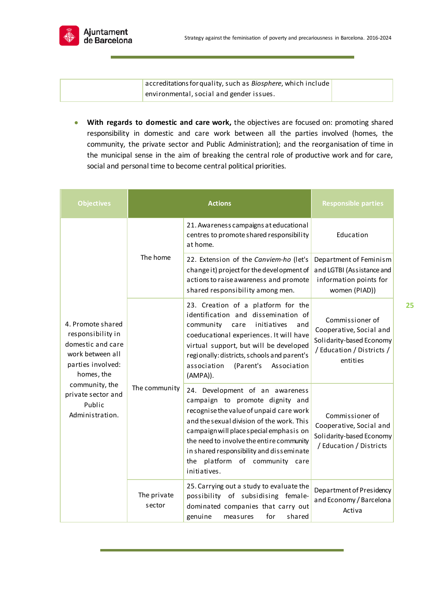

accreditations for quality, such as *Biosphere*, which include environmental, social and gender issues.

• **With regards to domestic and care work,** the objectives are focused on: promoting shared responsibility in domestic and care work between all the parties involved (homes, the community, the private sector and Public Administration); and the reorganisation of time in the municipal sense in the aim of breaking the central role of productive work and for care, social and personal time to become central political priorities.

| <b>Objectives</b>                                                                                                                                                                       |                       | <b>Actions</b>                                                                                                                                                                                                                                                                                                                                     | <b>Responsible parties</b>                                                                                      |
|-----------------------------------------------------------------------------------------------------------------------------------------------------------------------------------------|-----------------------|----------------------------------------------------------------------------------------------------------------------------------------------------------------------------------------------------------------------------------------------------------------------------------------------------------------------------------------------------|-----------------------------------------------------------------------------------------------------------------|
| 4. Promote shared<br>responsibility in<br>domestic and care<br>work between all<br>parties involved:<br>homes, the<br>community, the<br>private sector and<br>Public<br>Administration. | The home              | 21. Awareness campaigns at educational<br>centres to promote shared responsibility<br>at home.                                                                                                                                                                                                                                                     | Education                                                                                                       |
|                                                                                                                                                                                         |                       | 22. Extension of the Canviem-ho (let's<br>change it) project for the devel opment of<br>actions to raise awareness and promote<br>shared responsibility among men.                                                                                                                                                                                 | Department of Feminism<br>and LGTBI (Assistance and<br>information points for<br>women (PIAD))                  |
|                                                                                                                                                                                         |                       | 23. Creation of a platform for the<br>identification and dissemination of<br>initiatives<br>community<br>care<br>and<br>coeducational experiences. It will have<br>virtual support, but will be developed<br>regionally: districts, schools and parent's<br>(Parent's Association<br>association<br>(AMPA)).                                       | Commissioner of<br>Cooperative, Social and<br>Solidarity-based Economy<br>/ Education / Districts /<br>entities |
|                                                                                                                                                                                         | The community         | 24. Development of an awareness<br>campaign to promote dignity and<br>recognise the value of unpaid care work<br>and the sexual division of the work. This<br>campaign will place special emphasis on<br>the need to involve the entire community<br>in shared responsibility and disseminate<br>platform of community care<br>the<br>initiatives. | Commissioner of<br>Cooperative, Social and<br>Solidarity-based Economy<br>/ Education / Districts               |
|                                                                                                                                                                                         | The private<br>sector | 25. Carrying out a study to evaluate the<br>possibility of subsidising female-<br>dominated companies that carry out<br>for<br>shared<br>genuine<br>measures                                                                                                                                                                                       | Department of Presidency<br>and Economy / Barcelona<br>Activa                                                   |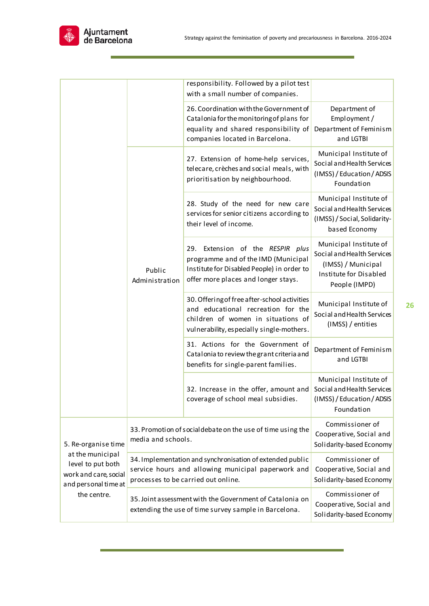

|                                                                                                                              |                                                                                                                                                        | responsibility. Followed by a pilot test<br>with a small number of companies.                                                                                         |                                                                                                                       |
|------------------------------------------------------------------------------------------------------------------------------|--------------------------------------------------------------------------------------------------------------------------------------------------------|-----------------------------------------------------------------------------------------------------------------------------------------------------------------------|-----------------------------------------------------------------------------------------------------------------------|
|                                                                                                                              |                                                                                                                                                        | 26. Coordination with the Government of<br>Catalonia for the monitoring of plans for<br>equality and shared responsibility of<br>companies located in Barcelona.      | Department of<br>Employment /<br>Department of Feminism<br>and LGTBI                                                  |
|                                                                                                                              | Public<br>Administration                                                                                                                               | 27. Extension of home-help services,<br>telecare, crèches and social meals, with<br>prioritisation by neighbourhood.                                                  | Municipal Institute of<br>Social and Health Services<br>(IMSS) / Education / ADSIS<br>Foundation                      |
|                                                                                                                              |                                                                                                                                                        | 28. Study of the need for new care<br>services for senior citizens according to<br>their level of income.                                                             | Municipal Institute of<br>Social and Health Services<br>(IMSS) / Social, Solidarity-<br>based Economy                 |
|                                                                                                                              |                                                                                                                                                        | 29. Extension of the RESPIR plus<br>programme and of the IMD (Municipal<br>Institute for Disabled People) in order to<br>offer more places and longer stays.          | Municipal Institute of<br>Social and Health Services<br>(IMSS) / Municipal<br>Institute for Disabled<br>People (IMPD) |
|                                                                                                                              |                                                                                                                                                        | 30. Offering of free after-school activities<br>and educational recreation for the<br>children of women in situations of<br>vulnerability, especially single-mothers. | Municipal Institute of<br>Social and Health Services<br>(IMSS) / entities                                             |
|                                                                                                                              |                                                                                                                                                        | 31. Actions for the Government of<br>Catalonia to review the grant criteria and<br>benefits for single-parent families.                                               | Department of Feminism<br>and LGTBI                                                                                   |
|                                                                                                                              |                                                                                                                                                        | 32. Increase in the offer, amount and<br>coverage of school meal subsidies.                                                                                           | Municipal Institute of<br>Social and Health Services<br>(IMSS) / Education / ADSIS<br>Foundation                      |
| 5. Re-organise time<br>at the municipal<br>level to put both<br>work and care, social<br>and personal time at<br>the centre. | 33. Promotion of social debate on the use of time using the<br>media and schools.                                                                      |                                                                                                                                                                       | Commissioner of<br>Cooperative, Social and<br>Solidarity-based Economy                                                |
|                                                                                                                              | 34. Implementation and synchronisation of extended public<br>service hours and allowing municipal paperwork and<br>processes to be carried out online. |                                                                                                                                                                       | Commissioner of<br>Cooperative, Social and<br>Solidarity-based Economy                                                |
|                                                                                                                              | 35. Joint assessment with the Government of Catalonia on<br>extending the use of time survey sample in Barcelona.                                      |                                                                                                                                                                       | Commissioner of<br>Cooperative, Social and<br>Solidarity-based Economy                                                |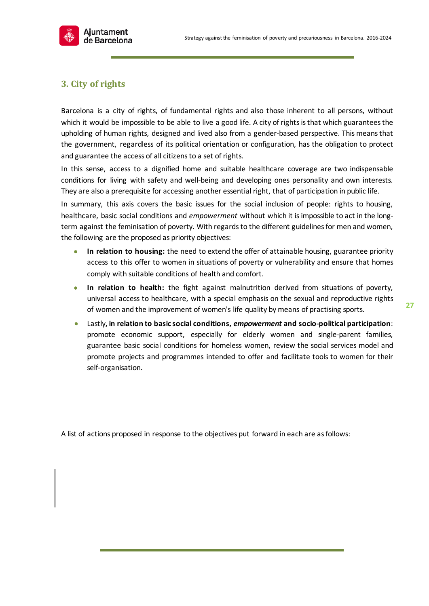

#### <span id="page-30-0"></span>**3. City of rights**

Barcelona is a city of rights, of fundamental rights and also those inherent to all persons, without which it would be impossible to be able to live a good life. A city of rights is that which guarantees the upholding of human rights, designed and lived also from a gender-based perspective. This means that the government, regardless of its political orientation or configuration, has the obligation to protect and guarantee the access of all citizens to a set of rights.

In this sense, access to a dignified home and suitable healthcare coverage are two indispensable conditions for living with safety and well-being and developing ones personality and own interests. They are also a prerequisite for accessing another essential right, that of participation in public life.

In summary, this axis covers the basic issues for the social inclusion of people: rights to housing, healthcare, basic social conditions and *empowerment* without which it is impossible to act in the longterm against the feminisation of poverty. With regards to the different guidelines for men and women, the following are the proposed as priority objectives:

- **In relation to housing:** the need to extend the offer of attainable housing, guarantee priority access to this offer to women in situations of poverty or vulnerability and ensure that homes comply with suitable conditions of health and comfort.
- **In relation to health:** the fight against malnutrition derived from situations of poverty, universal access to healthcare, with a special emphasis on the sexual and reproductive rights of women and the improvement of women's life quality by means of practising sports.
- Lastly**, in relation to basic social conditions,** *empowerment* **and socio-political participation**: promote economic support, especially for elderly women and single-parent families, guarantee basic social conditions for homeless women, review the social services model and promote projects and programmes intended to offer and facilitate tools to women for their self-organisation.

A list of actions proposed in response to the objectives put forward in each are as follows: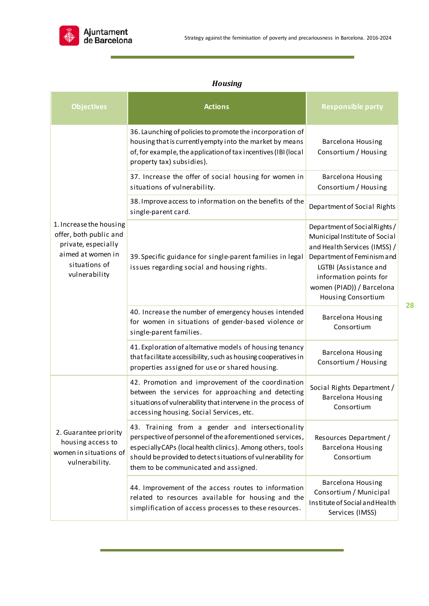

#### *Housing*

| <b>Objectives</b>                                                                                                               | <b>Actions</b>                                                                                                                                                                                                                                                                       | <b>Responsible party</b>                                                                                                                                                                                                                  |
|---------------------------------------------------------------------------------------------------------------------------------|--------------------------------------------------------------------------------------------------------------------------------------------------------------------------------------------------------------------------------------------------------------------------------------|-------------------------------------------------------------------------------------------------------------------------------------------------------------------------------------------------------------------------------------------|
|                                                                                                                                 | 36. Launching of policies to promote the incorporation of<br>housing that is currently empty into the market by means<br>of, for example, the application of tax incentives (IBI (local<br>property tax) subsidies).                                                                 | Barcelona Housing<br>Consortium / Housing                                                                                                                                                                                                 |
|                                                                                                                                 | 37. Increase the offer of social housing for women in<br>situations of vulnerability.                                                                                                                                                                                                | Barcelona Housing<br>Consortium / Housing                                                                                                                                                                                                 |
|                                                                                                                                 | 38. Improve access to information on the benefits of the<br>single-parent card.                                                                                                                                                                                                      | Department of Social Rights                                                                                                                                                                                                               |
| 1. Increase the housing<br>offer, both public and<br>private, especially<br>aimed at women in<br>situations of<br>vulnerability | 39. Specific guidance for single-parent families in legal<br>issues regarding social and housing rights.                                                                                                                                                                             | Department of Social Rights /<br>Municipal Institute of Social<br>and Health Services (IMSS) /<br>Department of Feminism and<br>LGTBI (Assistance and<br>information points for<br>women (PIAD)) / Barcelona<br><b>Housing Consortium</b> |
|                                                                                                                                 | 40. Increase the number of emergency houses intended<br>for women in situations of gender-based violence or<br>single-parent families.                                                                                                                                               | Barcelona Housing<br>Consortium                                                                                                                                                                                                           |
|                                                                                                                                 | 41. Exploration of alternative models of housing tenancy<br>that facilitate accessibility, such as housing cooperatives in<br>properties assigned for use or shared housing.                                                                                                         | Barcelona Housing<br>Consortium / Housing                                                                                                                                                                                                 |
|                                                                                                                                 | 42. Promotion and improvement of the coordination<br>between the services for approaching and detecting<br>situations of vulnerability that intervene in the process of<br>accessing housing. Social Services, etc.                                                                  | Social Rights Department /<br>Barcelona Housing<br>Consortium                                                                                                                                                                             |
| 2. Guarantee priority<br>housing access to<br>women in situations of<br>vulnerability.                                          | 43. Training from a gender and intersectionality<br>perspective of personnel of the aforementioned services,<br>especially CAPs (local health clinics). Among others, tools<br>should be provided to detect situations of vulnerability for<br>them to be communicated and assigned. | Resources Department /<br>Barcelona Housing<br>Consortium                                                                                                                                                                                 |
|                                                                                                                                 | 44. Improvement of the access routes to information<br>related to resources available for housing and the<br>simplification of access processes to these resources.                                                                                                                  | Barcelona Housing<br>Consortium / Municipal<br>Institute of Social and Health<br>Services (IMSS)                                                                                                                                          |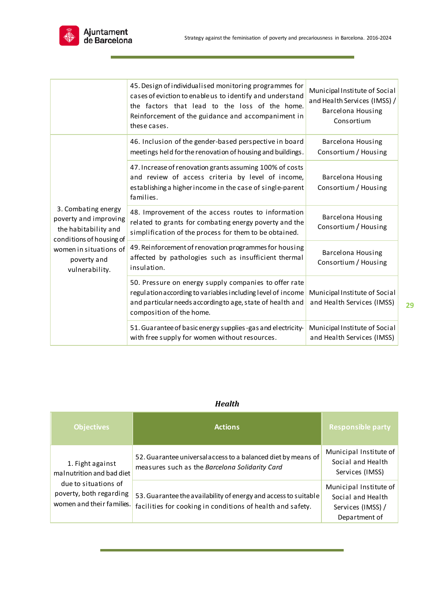

|                                                                                                                                                             | 45. Design of individualised monitoring programmes for<br>cases of eviction to enable us to identify and understand<br>the factors that lead to the loss of the home.<br>Reinforcement of the guidance and accompaniment in<br>these cases. | Municipal Institute of Social<br>and Health Services (IMSS) /<br>Barcelona Housing<br>Consortium |
|-------------------------------------------------------------------------------------------------------------------------------------------------------------|---------------------------------------------------------------------------------------------------------------------------------------------------------------------------------------------------------------------------------------------|--------------------------------------------------------------------------------------------------|
|                                                                                                                                                             | 46. Inclusion of the gender-based perspective in board<br>meetings held for the renovation of housing and buildings.                                                                                                                        | Barcelona Housing<br>Consortium / Housing                                                        |
| 3. Combating energy<br>poverty and improving<br>the habitability and<br>conditions of housing of<br>women in situations of<br>poverty and<br>vulnerability. | 47. Increase of renovation grants assuming 100% of costs<br>and review of access criteria by level of income,<br>establishing a higher income in the case of single-parent<br>families.                                                     | Barcelona Housing<br>Consortium / Housing                                                        |
|                                                                                                                                                             | 48. Improvement of the access routes to information<br>related to grants for combating energy poverty and the<br>simplification of the process for them to be obtained.                                                                     | <b>Barcelona Housing</b><br>Consortium / Housing                                                 |
|                                                                                                                                                             | 49. Reinforcement of renovation programmes for housing<br>affected by pathologies such as insufficient thermal<br>insulation.                                                                                                               | <b>Barcelona Housing</b><br>Consortium / Housing                                                 |
|                                                                                                                                                             | 50. Pressure on energy supply companies to offer rate<br>regulation according to variables including level of income<br>and particular needs accordingto age, state of health and<br>composition of the home.                               | Municipal Institute of Social<br>and Health Services (IMSS)                                      |
|                                                                                                                                                             | 51. Guarantee of basic energy supplies-gas and electricity-<br>with free supply for women without resources.                                                                                                                                | Municipal Institute of Social<br>and Health Services (IMSS)                                      |

#### *Health*

| <b>Objectives</b>                                                                                                             | <b>Actions</b>                                                                                                                | <b>Responsible party</b>                                                          |
|-------------------------------------------------------------------------------------------------------------------------------|-------------------------------------------------------------------------------------------------------------------------------|-----------------------------------------------------------------------------------|
| 1. Fight against<br>malnutrition and bad diet<br>due to situations of<br>poverty, both regarding<br>women and their families. | 52. Guarantee universal access to a balanced diet by means of<br>measures such as the Barcelona Solidarity Card               | Municipal Institute of<br>Social and Health<br>Services (IMSS)                    |
|                                                                                                                               | 53. Guarantee the availability of energy and access to suitable<br>facilities for cooking in conditions of health and safety. | Municipal Institute of<br>Social and Health<br>Services (IMSS) /<br>Department of |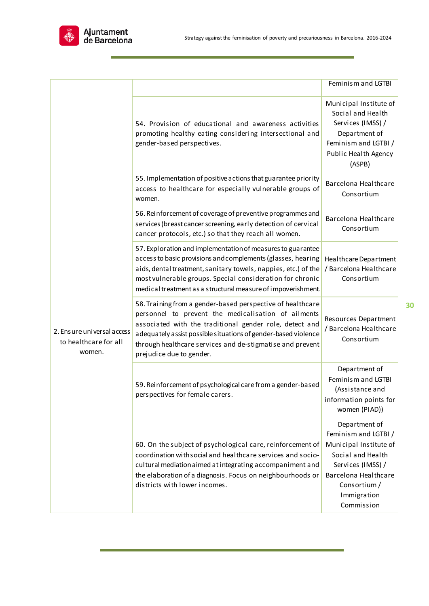

|                                                               |                                                                                                                                                                                                                                                                                                                                          | Feminism and LGTBI                                                                                                                                                             |
|---------------------------------------------------------------|------------------------------------------------------------------------------------------------------------------------------------------------------------------------------------------------------------------------------------------------------------------------------------------------------------------------------------------|--------------------------------------------------------------------------------------------------------------------------------------------------------------------------------|
|                                                               | 54. Provision of educational and awareness activities<br>promoting healthy eating considering intersectional and<br>gender-based perspectives.                                                                                                                                                                                           | Municipal Institute of<br>Social and Health<br>Services (IMSS) /<br>Department of<br>Feminism and LGTBI /<br>Public Health Agency<br>(ASPB)                                    |
|                                                               | 55. Implementation of positive actions that guarantee priority<br>access to healthcare for especially vulnerable groups of<br>women.                                                                                                                                                                                                     | Barcelona Healthcare<br>Consortium                                                                                                                                             |
|                                                               | 56. Reinforcement of coverage of preventive programmes and<br>services (breast cancer screening, early detection of cervical<br>cancer protocols, etc.) so that they reach all women.                                                                                                                                                    | Barcelona Healthcare<br>Consortium                                                                                                                                             |
| 2. Ensure universal access<br>to healthcare for all<br>women. | 57. Exploration and implementation of measures to guarantee<br>access to basic provisions and complements (glasses, hearing<br>aids, dental treatment, sanitary towels, nappies, etc.) of the<br>most vulnerable groups. Special consideration for chronic<br>medical treatment as a structural measure of impoverishment.               | Healthcare Department<br>/ Barcelona Healthcare<br>Consortium                                                                                                                  |
|                                                               | 58. Training from a gender-based perspective of healthcare<br>personnel to prevent the medicalisation of ailments<br>associated with the traditional gender role, detect and<br>a dequately assist possible situations of gender-based violence<br>through healthcare services and de-stigmatise and prevent<br>prejudice due to gender. | Resources Department<br>/ Barcelona Healthcare<br>Consortium                                                                                                                   |
|                                                               | 59. Reinforcement of psychological care from a gender-based<br>perspectives for female carers.                                                                                                                                                                                                                                           | Department of<br>Feminism and LGTBI<br>(Assistance and<br>information points for<br>women (PIAD))                                                                              |
|                                                               | 60. On the subject of psychological care, reinforcement of<br>coordination with social and healthcare services and socio-<br>cultural mediation aimed at integrating accompaniment and<br>the elaboration of a diagnosis. Focus on neighbourhoods or<br>districts with lower incomes.                                                    | Department of<br>Feminism and LGTBI /<br>Municipal Institute of<br>Social and Health<br>Services (IMSS) /<br>Barcelona Healthcare<br>Consortium /<br>Immigration<br>Commission |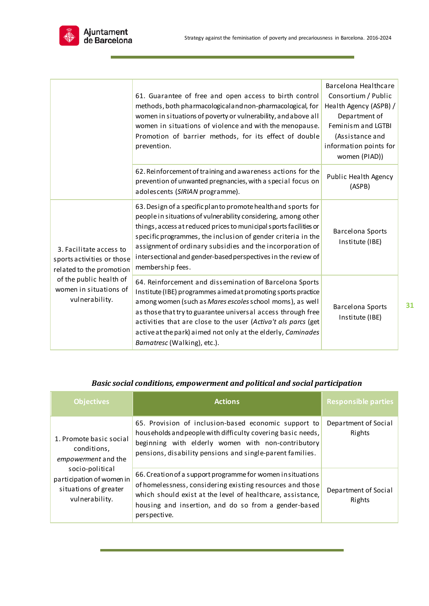

|                                                                                                                                                          | 61. Guarantee of free and open access to birth control<br>methods, both pharmacological and non-pharmacological, for<br>women in situations of poverty or vulnerability, and above all<br>women in situations of violence and with the menopause.<br>Promotion of barrier methods, for its effect of double<br>prevention.                                                                                               | Barcelona Healthcare<br>Consortium / Public<br>Health Agency (ASPB) /<br>Department of<br>Feminism and LGTBI<br>(Assistance and<br>information points for<br>women (PIAD)) |
|----------------------------------------------------------------------------------------------------------------------------------------------------------|--------------------------------------------------------------------------------------------------------------------------------------------------------------------------------------------------------------------------------------------------------------------------------------------------------------------------------------------------------------------------------------------------------------------------|----------------------------------------------------------------------------------------------------------------------------------------------------------------------------|
|                                                                                                                                                          | 62. Reinforcement of training and awareness actions for the<br>prevention of unwanted pregnancies, with a special focus on<br>adolescents (SIRIAN programme).                                                                                                                                                                                                                                                            | Public Health Agency<br>(ASPB)                                                                                                                                             |
| 3. Facilitate access to<br>sports activities or those<br>related to the promotion<br>of the public health of<br>women in situations of<br>vulnerability. | 63. Design of a specific plan to promote health and sports for<br>people in situations of vulnerability considering, among other<br>things, access at reduced prices to municipal sports facilities or<br>specific programmes, the inclusion of gender criteria in the<br>assignment of ordinary subsidies and the incorporation of<br>intersectional and gender-based perspectives in the review of<br>membership fees. | <b>Barcelona Sports</b><br>Institute (IBE)                                                                                                                                 |
|                                                                                                                                                          | 64. Reinforcement and dissemination of Barcelona Sports<br>Institute (IBE) programmes aimed at promoting sports practice<br>among women (such as Mares escoles school moms), as well<br>as those that try to guarantee universal access through free<br>activities that are close to the user (Activa't als parcs (get<br>active at the park) aimed not only at the elderly, Caminades<br>Barnatresc (Walking), etc.).   | <b>Barcelona Sports</b><br>Institute (IBE)                                                                                                                                 |

## *Basic social conditions, empowerment and political and social participation*

| <b>Objectives</b>                                                                                                                                               | <b>Actions</b>                                                                                                                                                                                                                                                 | <b>Responsible parties</b>     |
|-----------------------------------------------------------------------------------------------------------------------------------------------------------------|----------------------------------------------------------------------------------------------------------------------------------------------------------------------------------------------------------------------------------------------------------------|--------------------------------|
| 1. Promote basic social<br>conditions,<br><i>empowerment</i> and the<br>socio-political<br>participation of women in<br>situations of greater<br>vulnerability. | 65. Provision of inclusion-based economic support to<br>households and people with difficulty covering basic needs,<br>beginning with elderly women with non-contributory<br>pensions, disability pensions and single-parent families.                         | Department of Social<br>Rights |
|                                                                                                                                                                 | 66. Creation of a support programme for women in situations<br>of homelessness, considering existing resources and those<br>which should exist at the level of healthcare, assistance,<br>housing and insertion, and do so from a gender-based<br>perspective. | Department of Social<br>Rights |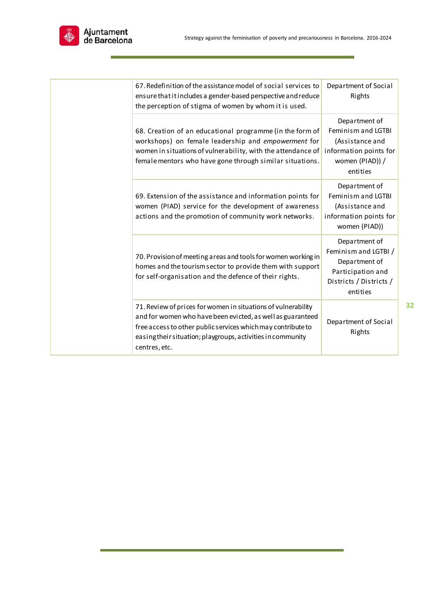

| 67. Redefinition of the assistance model of social services to<br>ensure that it includes a gender-based perspective and reduce<br>the perception of stigma of women by whom it is used.                                                                                    | Department of Social<br>Rights                                                                                     |
|-----------------------------------------------------------------------------------------------------------------------------------------------------------------------------------------------------------------------------------------------------------------------------|--------------------------------------------------------------------------------------------------------------------|
| 68. Creation of an educational programme (in the form of<br>workshops) on female leadership and empowerment for<br>women in situations of vulnerability, with the attendance of<br>female mentors who have gone through similar situations.                                 | Department of<br>Feminism and LGTBI<br>(Assistance and<br>information points for<br>women (PIAD)) /<br>entities    |
| 69. Extension of the assistance and information points for<br>women (PIAD) service for the development of awareness<br>actions and the promotion of community work networks.                                                                                                | Department of<br>Feminism and LGTBI<br>(Assistance and<br>information points for<br>women (PIAD))                  |
| 70. Provision of meeting areas and tools for women working in<br>homes and the tourism sector to provide them with support<br>for self-organisation and the defence of their rights.                                                                                        | Department of<br>Feminism and LGTBI /<br>Department of<br>Participation and<br>Districts / Districts /<br>entities |
| 71. Review of prices for women in situations of vulnerability<br>and for women who have been evicted, as well as guaranteed<br>free access to other public services which may contribute to<br>easing their situation; playgroups, activities in community<br>centres, etc. | Department of Social<br>Rights                                                                                     |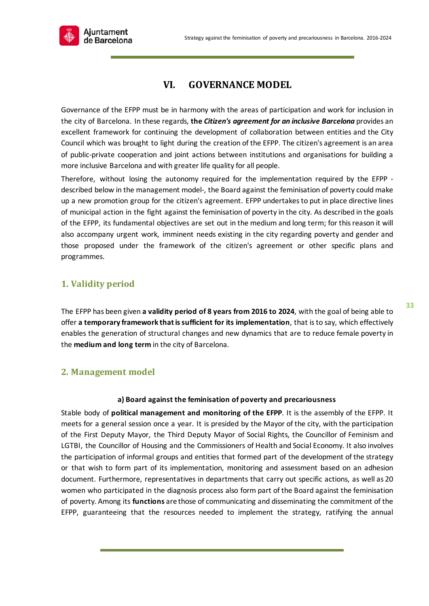

## **VI. GOVERNANCE MODEL**

<span id="page-36-0"></span>Governance of the EFPP must be in harmony with the areas of participation and work for inclusion in the city of Barcelona. In these regards, **the** *Citizen's agreement for an inclusive Barcelona* provides an excellent framework for continuing the development of collaboration between entities and the City Council which was brought to light during the creation of the EFPP. The citizen's agreement is an area of public-private cooperation and joint actions between institutions and organisations for building a more inclusive Barcelona and with greater life quality for all people.

Therefore, without losing the autonomy required for the implementation required by the EFPP described below in the management model-, the Board against the feminisation of poverty could make up a new promotion group for the citizen's agreement. EFPP undertakes to put in place directive lines of municipal action in the fight against the feminisation of poverty in the city. As described in the goals of the EFPP, its fundamental objectives are set out in the medium and long term; for this reason it will also accompany urgent work, imminent needs existing in the city regarding poverty and gender and those proposed under the framework of the citizen's agreement or other specific plans and programmes.

#### <span id="page-36-1"></span>**1. Validity period**

The EFPP has been given **a validity period of 8 years from 2016 to 2024**, with the goal of being able to offer **a temporary framework that is sufficient for its implementation**, that is to say, which effectively enables the generation of structural changes and new dynamics that are to reduce female poverty in the **medium and long term** in the city of Barcelona.

#### <span id="page-36-2"></span>**2. Management model**

#### **a) Board against the feminisation of poverty and precariousness**

Stable body of **political management and monitoring of the EFPP**. It is the assembly of the EFPP. It meets for a general session once a year. It is presided by the Mayor of the city, with the participation of the First Deputy Mayor, the Third Deputy Mayor of Social Rights, the Councillor of Feminism and LGTBI, the Councillor of Housing and the Commissioners of Health and Social Economy. It also involves the participation of informal groups and entities that formed part of the development of the strategy or that wish to form part of its implementation, monitoring and assessment based on an adhesion document. Furthermore, representatives in departments that carry out specific actions, as well as 20 women who participated in the diagnosis process also form part of the Board against the feminisation of poverty. Among its **functions** are those of communicating and disseminating the commitment of the EFPP, guaranteeing that the resources needed to implement the strategy, ratifying the annual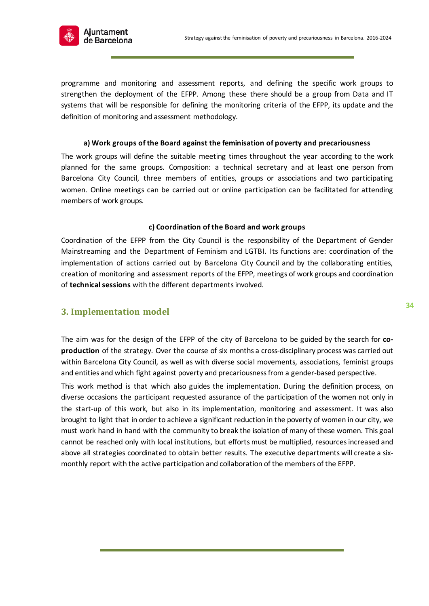

programme and monitoring and assessment reports, and defining the specific work groups to strengthen the deployment of the EFPP. Among these there should be a group from Data and IT systems that will be responsible for defining the monitoring criteria of the EFPP, its update and the definition of monitoring and assessment methodology.

#### **a) Work groups of the Board against the feminisation of poverty and precariousness**

The work groups will define the suitable meeting times throughout the year according to the work planned for the same groups. Composition: a technical secretary and at least one person from Barcelona City Council, three members of entities, groups or associations and two participating women. Online meetings can be carried out or online participation can be facilitated for attending members of work groups.

#### **c) Coordination of the Board and work groups**

Coordination of the EFPP from the City Council is the responsibility of the Department of Gender Mainstreaming and the Department of Feminism and LGTBI. Its functions are: coordination of the implementation of actions carried out by Barcelona City Council and by the collaborating entities, creation of monitoring and assessment reports of the EFPP, meetings of work groups and coordination of **technical sessions** with the different departments involved.

#### <span id="page-37-0"></span>**3. Implementation model**

The aim was for the design of the EFPP of the city of Barcelona to be guided by the search for **coproduction** of the strategy. Over the course of six months a cross-disciplinary process was carried out within Barcelona City Council, as well as with diverse social movements, associations, feminist groups and entities and which fight against poverty and precariousness from a gender-based perspective.

This work method is that which also guides the implementation. During the definition process, on diverse occasions the participant requested assurance of the participation of the women not only in the start-up of this work, but also in its implementation, monitoring and assessment. It was also brought to light that in order to achieve a significant reduction in the poverty of women in our city, we must work hand in hand with the community to break the isolation of many of these women. This goal cannot be reached only with local institutions, but efforts must be multiplied, resources increased and above all strategies coordinated to obtain better results. The executive departments will create a sixmonthly report with the active participation and collaboration of the members of the EFPP.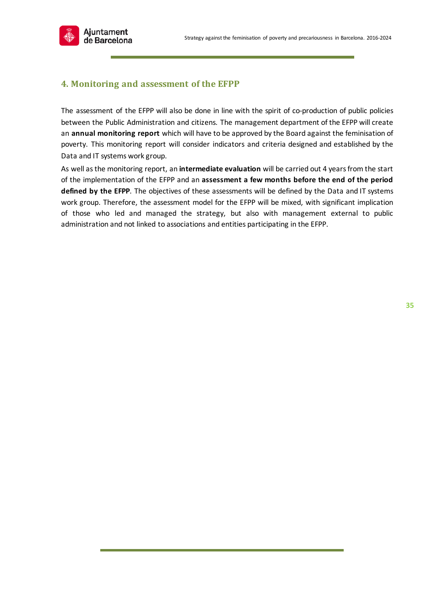

#### <span id="page-38-0"></span>**4. Monitoring and assessment of the EFPP**

The assessment of the EFPP will also be done in line with the spirit of co-production of public policies between the Public Administration and citizens. The management department of the EFPP will create an **annual monitoring report** which will have to be approved by the Board against the feminisation of poverty. This monitoring report will consider indicators and criteria designed and established by the Data and IT systems work group.

As well as the monitoring report, an **intermediate evaluation** will be carried out 4 years from the start of the implementation of the EFPP and an **assessment a few months before the end of the period defined by the EFPP**. The objectives of these assessments will be defined by the Data and IT systems work group. Therefore, the assessment model for the EFPP will be mixed, with significant implication of those who led and managed the strategy, but also with management external to public administration and not linked to associations and entities participating in the EFPP.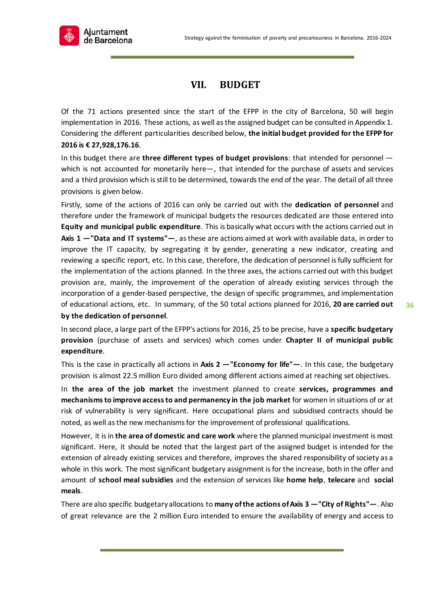

## **VII. BUDGET**

<span id="page-39-0"></span>Of the 71 actions presented since the start of the EFPP in the city of Barcelona, 50 will begin implementation in 2016. These actions, as well as the assigned budget can be consulted in Appendix 1. Considering the different particularities described below, **the initial budget provided for the EFPP for 2016 is € 27,928,176.16**.

In this budget there are **three different types of budget provisions**: that intended for personnel which is not accounted for monetarily here—, that intended for the purchase of assets and services and a third provision which is still to be determined, towards the end of the year. The detail of all three provisions is given below.

Firstly, some of the actions of 2016 can only be carried out with the **dedication of personnel** and therefore under the framework of municipal budgets the resources dedicated are those entered into **Equity and municipal public expenditure**. This is basically what occurs with the actions carried out in **Axis 1 —"Data and IT systems"—**, as these are actions aimed at work with available data, in order to improve the IT capacity, by segregating it by gender, generating a new indicator, creating and reviewing a specific report, etc. In this case, therefore, the dedication of personnel is fully sufficient for the implementation of the actions planned. In the three axes, the actions carried out with this budget provision are, mainly, the improvement of the operation of already existing services through the incorporation of a gender-based perspective, the design of specific programmes, and implementation of educational actions, etc. In summary, of the 50 total actions planned for 2016, **20 are carried out by the dedication of personnel**.

In second place, a large part of the EFPP's actions for 2016, 25 to be precise, have a **specific budgetary provision** (purchase of assets and services) which comes under **Chapter II of municipal public expenditure**.

This is the case in practically all actions in **Axis 2 —"Economy for life"—**. In this case, the budgetary provision is almost 22.5 million Euro divided among different actions aimed at reaching set objectives.

In **the area of the job market** the investment planned to create **services, programmes and mechanisms to improve access to and permanency in the job market** for women in situations of or at risk of vulnerability is very significant. Here occupational plans and subsidised contracts should be noted, as well as the new mechanisms for the improvement of professional qualifications.

However, it is in **the area of domestic and care work** where the planned municipal investment is most significant. Here, it should be noted that the largest part of the assigned budget is intended for the extension of already existing services and therefore, improves the shared responsibility of society as a whole in this work. The most significant budgetary assignment is for the increase, both in the offer and amount of **school meal subsidies** and the extension of services like **home help**, **telecare** and **social meals**.

There are also specific budgetary allocations to **many of the actions of Axis 3 —"City of Rights"—**. Also of great relevance are the 2 million Euro intended to ensure the availability of energy and access to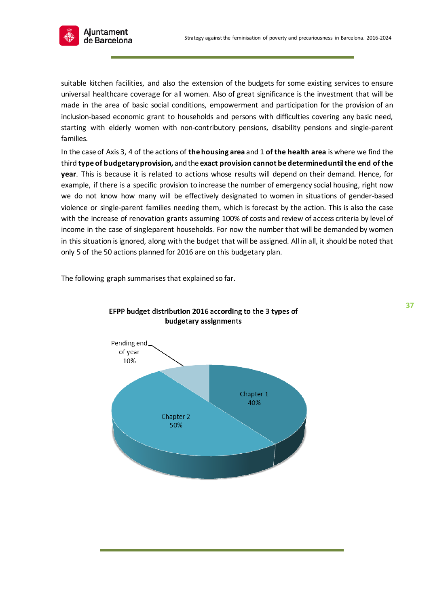

suitable kitchen facilities, and also the extension of the budgets for some existing services to ensure universal healthcare coverage for all women. Also of great significance is the investment that will be made in the area of basic social conditions, empowerment and participation for the provision of an inclusion-based economic grant to households and persons with difficulties covering any basic need, starting with elderly women with non-contributory pensions, disability pensions and single-parent families.

In the case of Axis 3, 4 of the actions of **the housing area** and 1 **of the health area** is where we find the third **type of budgetary provision,** and the **exact provision cannot be determined until the end of the year**. This is because it is related to actions whose results will depend on their demand. Hence, for example, if there is a specific provision to increase the number of emergency social housing, right now we do not know how many will be effectively designated to women in situations of gender-based violence or single-parent families needing them, which is forecast by the action. This is also the case with the increase of renovation grants assuming 100% of costs and review of access criteria by level of income in the case of singleparent households. For now the number that will be demanded by women in this situation is ignored, along with the budget that will be assigned. All in all, it should be noted that only 5 of the 50 actions planned for 2016 are on this budgetary plan.

The following graph summarises that explained so far.



## EFPP budget distribution 2016 according to the 3 types of budgetary assignments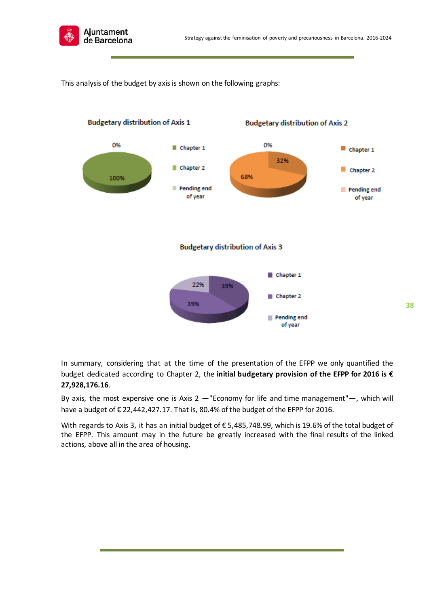

This analysis of the budget by axis is shown on the following graphs:



In summary, considering that at the time of the presentation of the EFPP we only quantified the budget dedicated according to Chapter 2, the **initial budgetary provision of the EFPP for 2016 is € 27,928,176.16**.

By axis, the most expensive one is Axis  $2 -$ "Economy for life and time management" $-$ , which will have a budget of  $\epsilon$  22,442,427.17. That is, 80.4% of the budget of the EFPP for 2016.

With regards to Axis 3, it has an initial budget of € 5,485,748.99, which is 19.6% of the total budget of the EFPP. This amount may in the future be greatly increased with the final results of the linked actions, above all in the area of housing.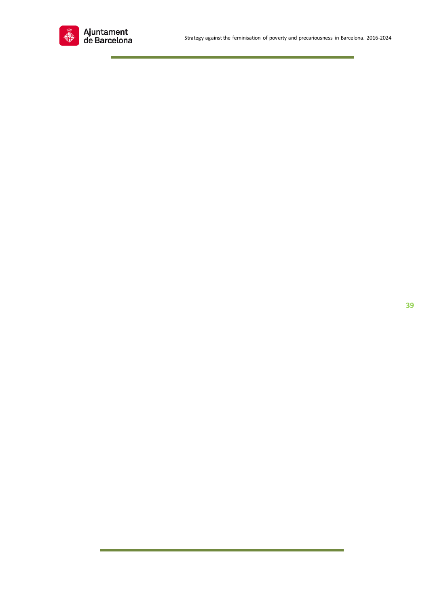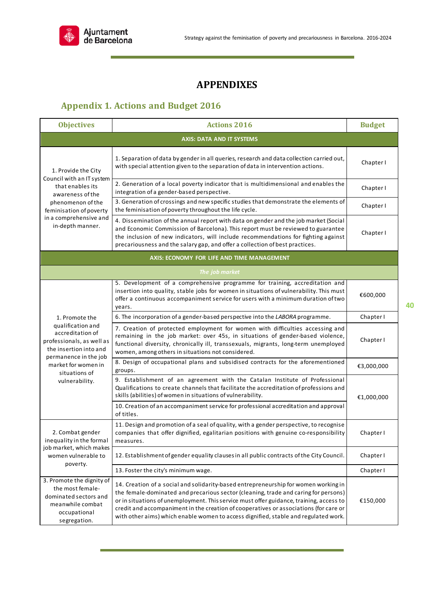

## **APPENDIXES**

## <span id="page-43-1"></span><span id="page-43-0"></span>**Appendix 1. Actions and Budget 2016**

| <b>Objectives</b>                                                                                                                                                                      | <b>Actions 2016</b>                                                                                                                                                                                                                                                                                                                                                                                                                                   | <b>Budget</b> |
|----------------------------------------------------------------------------------------------------------------------------------------------------------------------------------------|-------------------------------------------------------------------------------------------------------------------------------------------------------------------------------------------------------------------------------------------------------------------------------------------------------------------------------------------------------------------------------------------------------------------------------------------------------|---------------|
| <b>AXIS: DATA AND IT SYSTEMS</b>                                                                                                                                                       |                                                                                                                                                                                                                                                                                                                                                                                                                                                       |               |
| 1. Provide the City<br>Council with an IT system<br>that enables its<br>awareness of the<br>phenomenon of the<br>feminisation of poverty<br>in a comprehensive and<br>in-depth manner. | 1. Separation of data by gender in all queries, research and data collection carried out,<br>with special attention given to the separation of data in intervention actions.                                                                                                                                                                                                                                                                          | Chapter I     |
|                                                                                                                                                                                        | 2. Generation of a local poverty indicator that is multidimensional and enables the<br>integration of a gender-based perspective.                                                                                                                                                                                                                                                                                                                     | Chapter I     |
|                                                                                                                                                                                        | 3. Generation of crossings and new specific studies that demonstrate the elements of<br>the feminisation of poverty throughout the life cycle.                                                                                                                                                                                                                                                                                                        | Chapter I     |
|                                                                                                                                                                                        | 4. Dissemination of the annual report with data on gender and the job market (Social<br>and Economic Commission of Barcelona). This report must be reviewed to guarantee<br>the inclusion of new indicators, will include recommendations for fighting against<br>precariousness and the salary gap, and offer a collection of best practices.                                                                                                        | Chapter I     |
|                                                                                                                                                                                        | AXIS: ECONOMY FOR LIFE AND TIME MANAGEMENT                                                                                                                                                                                                                                                                                                                                                                                                            |               |
|                                                                                                                                                                                        | The job market                                                                                                                                                                                                                                                                                                                                                                                                                                        |               |
|                                                                                                                                                                                        | 5. Development of a comprehensive programme for training, accreditation and<br>insertion into quality, stable jobs for women in situations of vulnerability. This must<br>offer a continuous accompaniment service for users with a minimum duration of two<br>years.                                                                                                                                                                                 | €600,000      |
| 1. Promote the                                                                                                                                                                         | 6. The incorporation of a gender-based perspective into the LABORA programme.                                                                                                                                                                                                                                                                                                                                                                         | Chapter I     |
| qualification and<br>accreditation of<br>professionals, as well as<br>the insertion into and<br>permanence in the job<br>market for women in<br>situations of<br>vulnerability.        | 7. Creation of protected employment for women with difficulties accessing and<br>remaining in the job market: over 45s, in situations of gender-based violence,<br>functional diversity, chronically ill, transsexuals, migrants, long-term unemployed<br>women, among others in situations not considered.                                                                                                                                           | Chapter I     |
|                                                                                                                                                                                        | 8. Design of occupational plans and subsidised contracts for the aforementioned<br>groups.                                                                                                                                                                                                                                                                                                                                                            | €3,000,000    |
|                                                                                                                                                                                        | 9. Establishment of an agreement with the Catalan Institute of Professional<br>Qualifications to create channels that facilitate the accreditation of professions and<br>skills (abilities) of women in situations of vulnerability.                                                                                                                                                                                                                  | €1,000,000    |
|                                                                                                                                                                                        | 10. Creation of an accompaniment service for professional accreditation and approval<br>of titles.                                                                                                                                                                                                                                                                                                                                                    |               |
| 2. Combat gender<br>inequality in the formal<br>job market, which makes<br>women vulnerable to<br>poverty.                                                                             | 11. Design and promotion of a seal of quality, with a gender perspective, to recognise<br>companies that offer dignified, egalitarian positions with genuine co-responsibility<br>measures.                                                                                                                                                                                                                                                           | Chapter I     |
|                                                                                                                                                                                        | 12. Establishment of gender equality clauses in all public contracts of the City Council.                                                                                                                                                                                                                                                                                                                                                             | Chapter I     |
|                                                                                                                                                                                        | 13. Foster the city's minimum wage.                                                                                                                                                                                                                                                                                                                                                                                                                   | Chapter I     |
| 3. Promote the dignity of<br>the most female-<br>dominated sectors and<br>meanwhile combat<br>occupational<br>segregation.                                                             | 14. Creation of a social and solidarity-based entrepreneurship for women working in<br>the female-dominated and precarious sector (cleaning, trade and caring for persons)<br>or in situations of unemployment. This service must offer guidance, training, access to<br>credit and accompaniment in the creation of cooperatives or associations (for care or<br>with other aims) which enable women to access dignified, stable and regulated work. | €150,000      |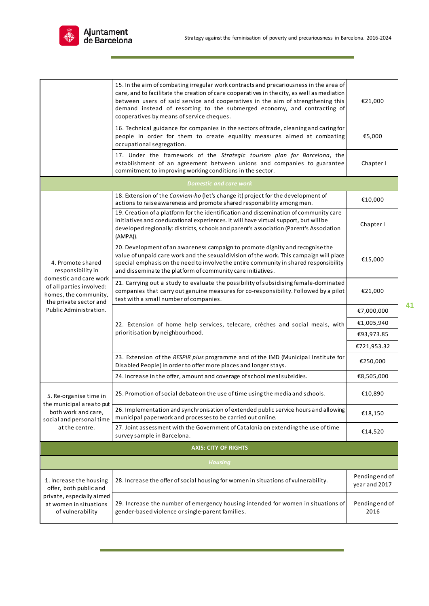

|                                                                                                                                                 | 15. In the aim of combating irregular work contracts and precariousness in the area of<br>care, and to facilitate the creation of care cooperatives in the city, as well as mediation<br>between users of said service and cooperatives in the aim of strengthening this<br>demand instead of resorting to the submerged economy, and contracting of<br>cooperatives by means of service cheques. | €21,000                         |
|-------------------------------------------------------------------------------------------------------------------------------------------------|---------------------------------------------------------------------------------------------------------------------------------------------------------------------------------------------------------------------------------------------------------------------------------------------------------------------------------------------------------------------------------------------------|---------------------------------|
|                                                                                                                                                 | 16. Technical guidance for companies in the sectors of trade, cleaning and caring for<br>people in order for them to create equality measures aimed at combating<br>occupational segregation.                                                                                                                                                                                                     | €5,000                          |
|                                                                                                                                                 | 17. Under the framework of the Strategic tourism plan for Barcelona, the<br>establishment of an agreement between unions and companies to guarantee<br>commitment to improving working conditions in the sector.                                                                                                                                                                                  | Chapterl                        |
|                                                                                                                                                 | <b>Domestic and care work</b>                                                                                                                                                                                                                                                                                                                                                                     |                                 |
|                                                                                                                                                 | 18. Extension of the Canviem-ho (let's change it) project for the development of<br>actions to raise awareness and promote shared responsibility among men.                                                                                                                                                                                                                                       | €10,000                         |
| 4. Promote shared<br>responsibility in<br>domestic and care work<br>of all parties involved:<br>homes, the community,<br>the private sector and | 19. Creation of a platform for the identification and dissemination of community care<br>initiatives and coeducational experiences. It will have virtual support, but will be<br>developed regionally: districts, schools and parent's association (Parent's Association<br>(AMPA)).                                                                                                              | Chapter I                       |
|                                                                                                                                                 | 20. Development of an awareness campaign to promote dignity and recognise the<br>value of unpaid care work and the sexual division of the work. This campaign will place<br>special emphasis on the need to involve the entire community in shared responsibility<br>and disseminate the platform of community care initiatives.                                                                  | €15,000                         |
|                                                                                                                                                 | 21. Carrying out a study to evaluate the possibility of subsidising female-dominated<br>companies that carry out genuine measures for co-responsibility. Followed by a pilot<br>test with a small number of companies.                                                                                                                                                                            | €21,000                         |
| Public Administration.                                                                                                                          |                                                                                                                                                                                                                                                                                                                                                                                                   | €7,000,000                      |
|                                                                                                                                                 | 22. Extension of home help services, telecare, crèches and social meals, with                                                                                                                                                                                                                                                                                                                     | €1,005,940                      |
|                                                                                                                                                 | prioritisation by neighbourhood.                                                                                                                                                                                                                                                                                                                                                                  | €93,973.85                      |
|                                                                                                                                                 |                                                                                                                                                                                                                                                                                                                                                                                                   | €721,953.32                     |
|                                                                                                                                                 | 23. Extension of the RESPIR plus programme and of the IMD (Municipal Institute for<br>Disabled People) in order to offer more places and longer stays.                                                                                                                                                                                                                                            | €250,000                        |
|                                                                                                                                                 | 24. Increase in the offer, amount and coverage of school meal subsidies.                                                                                                                                                                                                                                                                                                                          | €8,505,000                      |
| 5. Re-organise time in                                                                                                                          | 25. Promotion of social debate on the use of time using the media and schools.                                                                                                                                                                                                                                                                                                                    | €10,890                         |
| the municipal area to put<br>both work and care,<br>social and personal time                                                                    | 26. Implementation and synchronisation of extended public service hours and allowing<br>municipal paperwork and processes to be carried out online.                                                                                                                                                                                                                                               | €18,150                         |
| at the centre.                                                                                                                                  | 27. Joint assessment with the Government of Catalonia on extending the use of time<br>survey sample in Barcelona.                                                                                                                                                                                                                                                                                 | €14,520                         |
|                                                                                                                                                 | <b>AXIS: CITY OF RIGHTS</b>                                                                                                                                                                                                                                                                                                                                                                       |                                 |
| Housing                                                                                                                                         |                                                                                                                                                                                                                                                                                                                                                                                                   |                                 |
| 1. Increase the housing<br>offer, both public and<br>private, especially aimed<br>at women in situations<br>of vulnerability                    | 28. Increase the offer of social housing for women in situations of vulnerability.                                                                                                                                                                                                                                                                                                                | Pending end of<br>year and 2017 |
|                                                                                                                                                 | 29. Increase the number of emergency housing intended for women in situations of<br>gender-based violence or single-parent families.                                                                                                                                                                                                                                                              | Pending end of<br>2016          |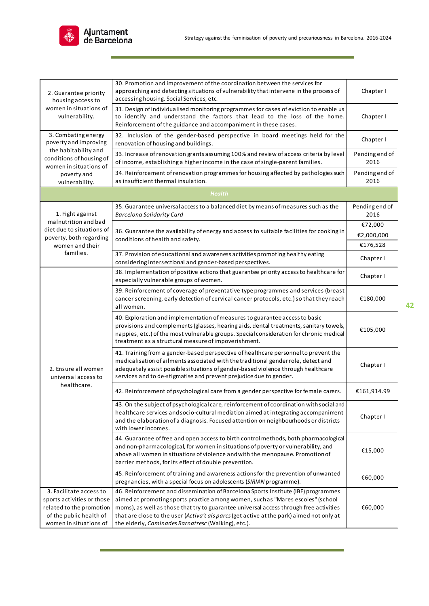

| 2. Guarantee priority<br>housing access to                                 | 30. Promotion and improvement of the coordination between the services for<br>approaching and detecting situations of vulnerability that intervene in the process of<br>accessing housing. Social Services, etc.                                                                                                                     | Chapter I              |
|----------------------------------------------------------------------------|--------------------------------------------------------------------------------------------------------------------------------------------------------------------------------------------------------------------------------------------------------------------------------------------------------------------------------------|------------------------|
| women in situations of<br>vulnerability.                                   | 31. Design of individualised monitoring programmes for cases of eviction to enable us<br>to identify and understand the factors that lead to the loss of the home.<br>Reinforcement of the guidance and accompaniment in these cases.                                                                                                | Chapterl               |
| 3. Combating energy<br>poverty and improving                               | 32. Inclusion of the gender-based perspective in board meetings held for the<br>renovation of housing and buildings.                                                                                                                                                                                                                 | Chapterl               |
| the habitability and<br>conditions of housing of<br>women in situations of | 33. Increase of renovation grants assuming 100% and review of access criteria by level<br>of income, establishing a higher income in the case of single-parent families.                                                                                                                                                             | Pending end of<br>2016 |
| poverty and<br>vulnerability.                                              | 34. Reinforcement of renovation programmes for housing affected by pathologies such<br>as insufficient thermal insulation.                                                                                                                                                                                                           | Pending end of<br>2016 |
|                                                                            | Health                                                                                                                                                                                                                                                                                                                               |                        |
| 1. Fight against                                                           | 35. Guarantee universal access to a balanced diet by means of measures such as the<br>Barcelona Solidarity Card                                                                                                                                                                                                                      | Pending end of<br>2016 |
| malnutrition and bad<br>diet due to situations of                          | 36. Guarantee the availability of energy and access to suitable facilities for cooking in                                                                                                                                                                                                                                            | €72,000                |
| poverty, both regarding                                                    | conditions of health and safety.                                                                                                                                                                                                                                                                                                     | €2,000,000             |
| women and their<br>families.                                               | 37. Provision of educational and awareness activities promoting healthy eating                                                                                                                                                                                                                                                       | €176,528               |
|                                                                            | considering intersectional and gender-based perspectives.                                                                                                                                                                                                                                                                            | Chapter I              |
| 2. Ensure all women<br>universal access to                                 | 38. Implementation of positive actions that guarantee priority access to healthcare for<br>especially vulnerable groups of women.                                                                                                                                                                                                    | Chapter I              |
|                                                                            | 39. Reinforcement of coverage of preventative type programmes and services (breast<br>cancer screening, early detection of cervical cancer protocols, etc.) so that they reach<br>all women.                                                                                                                                         | €180,000               |
|                                                                            | 40. Exploration and implementation of measures to guarantee access to basic<br>provisions and complements (glasses, hearing aids, dental treatments, sanitary towels,<br>nappies, etc.) of the most vulnerable groups. Special consideration for chronic medical<br>treatment as a structural measure of impoverishment.             | €105,000               |
|                                                                            | 41. Training from a gender-based perspective of healthcare personnel to prevent the<br>medicalisation of ailments associated with the traditional gender role, detect and<br>adequately assist possible situations of gender-based violence through healthcare<br>services and to de-stigmatise and prevent prejudice due to gender. | Chapter I              |
| healthcare.                                                                | 42. Reinforcement of psychological care from a gender perspective for female carers.                                                                                                                                                                                                                                                 | €161,914.99            |
|                                                                            | 43. On the subject of psychological care, reinforcement of coordination with social and<br>healthcare services and socio-cultural mediation aimed at integrating accompaniment<br>and the elaboration of a diagnosis. Focused attention on neighbourhoods or districts<br>with lower incomes.                                        | Chapterl               |
|                                                                            | 44. Guarantee of free and open access to birth control methods, both pharmacological<br>and non-pharmacological, for women in situations of poverty or vulnerability, and<br>above all women in situations of violence and with the menopause. Promotion of<br>barrier methods, for its effect of double prevention.                 | €15,000                |
|                                                                            | 45. Reinforcement of training and awareness actions for the prevention of unwanted<br>pregnancies, with a special focus on adolescents (SIRIAN programme).                                                                                                                                                                           | €60,000                |
| 3. Facilitate access to                                                    | 46. Reinforcement and dissemination of Barcelona Sports Institute (IBE) programmes                                                                                                                                                                                                                                                   |                        |
| sports activities or those<br>related to the promotion                     | aimed at promoting sports practice among women, such as "Mares escoles" (school<br>moms), as well as those that try to guarantee universal access through free activities                                                                                                                                                            | €60,000                |
| of the public health of                                                    | that are close to the user (Activa't als parcs (get active at the park) aimed not only at                                                                                                                                                                                                                                            |                        |
| women in situations of                                                     | the elderly, Caminades Barnatresc (Walking), etc.).                                                                                                                                                                                                                                                                                  |                        |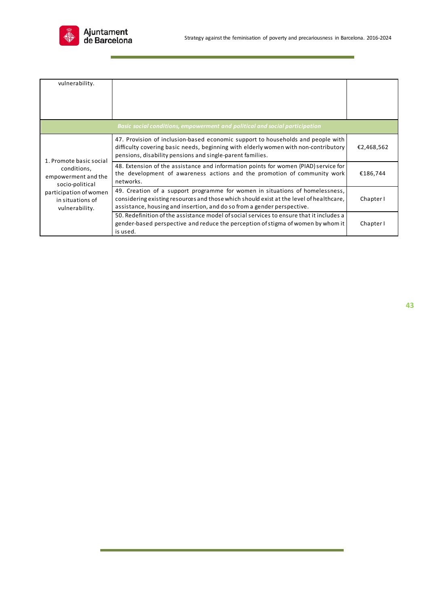

| vulnerability.                                                                                                        |                                                                                                                                                                                                                                                    |            |
|-----------------------------------------------------------------------------------------------------------------------|----------------------------------------------------------------------------------------------------------------------------------------------------------------------------------------------------------------------------------------------------|------------|
|                                                                                                                       | Basic social conditions, empowerment and political and social participation                                                                                                                                                                        |            |
| 1. Promote basic social                                                                                               | 47. Provision of inclusion-based economic support to households and people with<br>difficulty covering basic needs, beginning with elderly women with non-contributory<br>pensions, disability pensions and single-parent families.                | €2,468,562 |
| conditions,<br>empowerment and the<br>socio-political<br>participation of women<br>in situations of<br>vulnerability. | 48. Extension of the assistance and information points for women (PIAD) service for<br>the development of awareness actions and the promotion of community work<br>networks.                                                                       | €186,744   |
|                                                                                                                       | 49. Creation of a support programme for women in situations of homelessness,<br>considering existing resources and those which should exist at the level of healthcare,<br>assistance, housing and insertion, and do so from a gender perspective. | Chapter I  |
|                                                                                                                       | 50. Redefinition of the assistance model of social services to ensure that it includes a<br>gender-based perspective and reduce the perception of stigma of women by whom it<br>is used.                                                           | Chapter I  |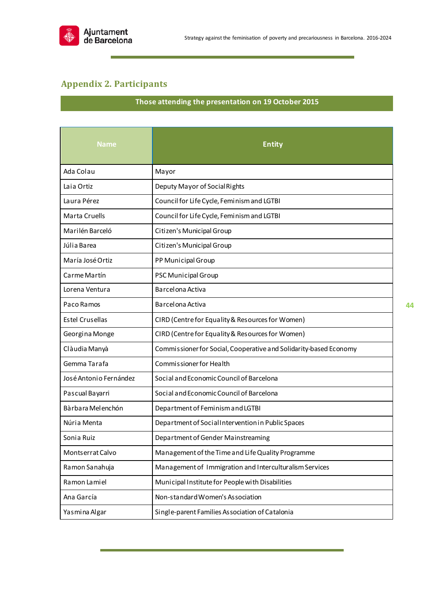

## <span id="page-47-0"></span>**Appendix 2. Participants**

#### **Those attending the presentation on 19 October 2015**

| <b>Name</b>            | <b>Entity</b>                                                     |
|------------------------|-------------------------------------------------------------------|
| Ada Colau              | Mayor                                                             |
| Laia Ortiz             | Deputy Mayor of Social Rights                                     |
| Laura Pérez            | Council for Life Cycle, Feminism and LGTBI                        |
| Marta Cruells          | Council for Life Cycle, Feminism and LGTBI                        |
| Marilén Barceló        | Citizen's Municipal Group                                         |
| Júlia Barea            | Citizen's Municipal Group                                         |
| María José Ortiz       | PP Municipal Group                                                |
| Carme Martín           | PSC Municipal Group                                               |
| Lorena Ventura         | Barcelona Activa                                                  |
| Paco Ramos             | Barcelona Activa                                                  |
| <b>Estel Crusellas</b> | CIRD (Centre for Equality & Resources for Women)                  |
| Georgina Monge         | CIRD (Centre for Equality & Resources for Women)                  |
| Clàudia Manyà          | Commissioner for Social, Cooperative and Solidarity-based Economy |
| Gemma Tarafa           | Commissioner for Health                                           |
| José Antonio Fernández | Social and Economic Council of Barcelona                          |
| Pascual Bayarri        | Social and Economic Council of Barcelona                          |
| Bàrbara Melenchón      | Department of Feminism and LGTBI                                  |
| Núria Menta            | Department of Social Intervention in Public Spaces                |
| Sonia Ruiz             | Department of Gender Mainstreaming                                |
| Monts errat Calvo      | Management of the Time and Life Quality Programme                 |
| Ramon Sanahuja         | Management of Immigration and Interculturalism Services           |
| Ramon Lamiel           | Municipal Institute for People with Disabilities                  |
| Ana García             | Non-standard Women's Association                                  |
| Yasmina Algar          | Single-parent Families Association of Catalonia                   |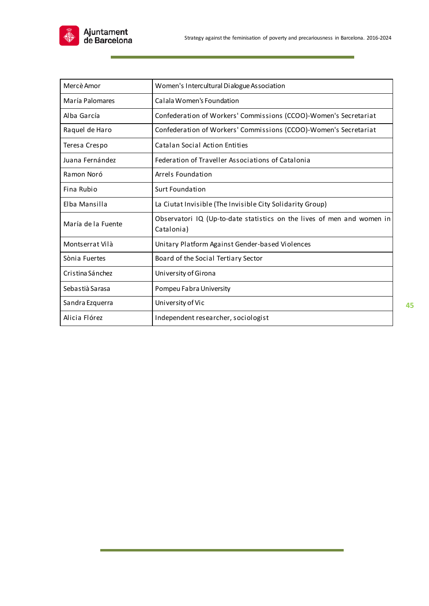

| Mercè Amor         | Women's Intercultural Dialogue Association                                           |
|--------------------|--------------------------------------------------------------------------------------|
| María Palomares    | Calala Women's Foundation                                                            |
| Alba García        | Confederation of Workers' Commissions (CCOO)-Women's Secretariat                     |
| Raquel de Haro     | Confederation of Workers' Commissions (CCOO)-Women's Secretariat                     |
| Teresa Crespo      | Catalan Social Action Entities                                                       |
| Juana Fernández    | Federation of Traveller Associations of Catalonia                                    |
| Ramon Noró         | Arrels Foundation                                                                    |
| Fina Rubio         | Surt Foundation                                                                      |
| Elba Mansilla      | La Ciutat Invisible (The Invisible City Solidarity Group)                            |
| María de la Fuente | Observatori IQ (Up-to-date statistics on the lives of men and women in<br>Catalonia) |
| Montserrat Vilà    | Unitary Platform Against Gender-based Violences                                      |
| Sònia Fuertes      | Board of the Social Tertiary Sector                                                  |
| Cristina Sánchez   | University of Girona                                                                 |
| Sebastià Sarasa    | Pompeu Fabra University                                                              |
| Sandra Ezquerra    | University of Vic                                                                    |
| Alicia Flórez      | Independent researcher, sociologist                                                  |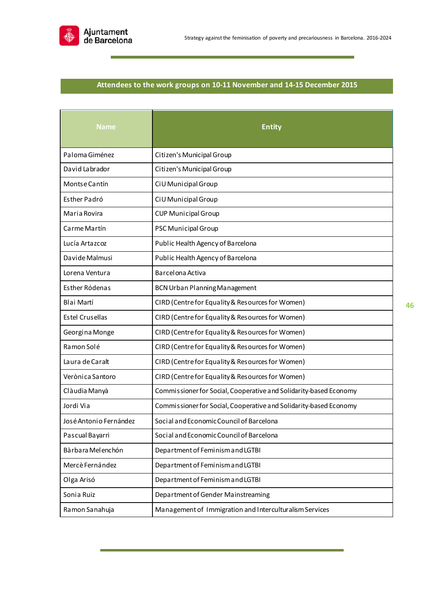## **Attendees to the work groups on 10-11 November and 14-15 December 2015**

| <b>Name</b>            | <b>Entity</b>                                                     |
|------------------------|-------------------------------------------------------------------|
| Paloma Giménez         | Citizen's Municipal Group                                         |
| David Labrador         | Citizen's Municipal Group                                         |
| Montse Cantín          | Ci U Municipal Group                                              |
| Esther Padró           | Ci U Municipal Group                                              |
| Maria Rovira           | <b>CUP Municipal Group</b>                                        |
| Carme Martín           | PSC Municipal Group                                               |
| Lucía Artazcoz         | Public Health Agency of Barcelona                                 |
| Davide Malmusi         | Public Health Agency of Barcelona                                 |
| Lorena Ventura         | Barcelona Activa                                                  |
| Esther Ródenas         | BCN Urban Planning Management                                     |
| Blai Martí             | CIRD (Centre for Equality & Resources for Women)                  |
| <b>Estel Crusellas</b> | CIRD (Centre for Equality & Resources for Women)                  |
| Georgina Monge         | CIRD (Centre for Equality & Resources for Women)                  |
| Ramon Solé             | CIRD (Centre for Equality & Resources for Women)                  |
| Laura de Caralt        | CIRD (Centre for Equality & Resources for Women)                  |
| Verònica Santoro       | CIRD (Centre for Equality & Resources for Women)                  |
| Clàudia Manyà          | Commissioner for Social, Cooperative and Solidarity-based Economy |
| Jordi Via              | Commissioner for Social, Cooperative and Solidarity-based Economy |
| José Antonio Fernández | Social and Economic Council of Barcelona                          |
| Pascual Bayarri        | Social and Economic Council of Barcelona                          |
| Bàrbara Melenchón      | Department of Feminism and LGTBI                                  |
| Mercè Fernández        | Department of Feminism and LGTBI                                  |
| Olga Arisó             | Department of Feminism and LGTBI                                  |
| Sonia Ruiz             | Department of Gender Mainstreaming                                |
| Ramon Sanahuja         | Management of Immigration and Interculturalism Services           |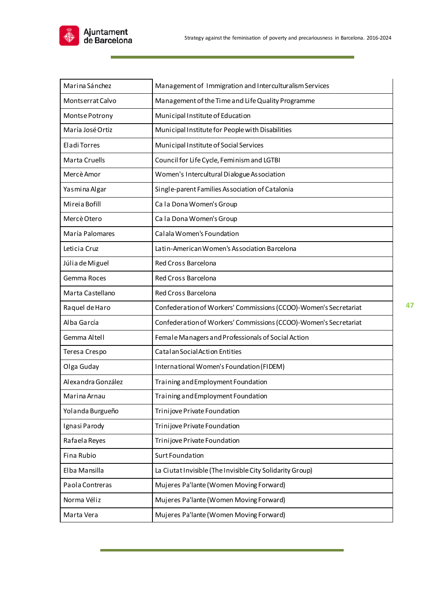

| Marina Sánchez     | Management of Immigration and Interculturalism Services          |
|--------------------|------------------------------------------------------------------|
| Monts errat Calvo  | Management of the Time and Life Quality Programme                |
| Montse Potrony     | Municipal Institute of Education                                 |
| María José Ortiz   | Municipal Institute for People with Disabilities                 |
| El adi Torres      | Municipal Institute of Social Services                           |
| Marta Cruells      | Council for Life Cycle, Feminism and LGTBI                       |
| Mercè Amor         | Women's Intercultural Dialogue Association                       |
| Yasmina Algar      | Single-parent Families Association of Catalonia                  |
| Mireia Bofill      | Cala Dona Women's Group                                          |
| Mercè Otero        | Cala Dona Women's Group                                          |
| María Palomares    | Calala Women's Foundation                                        |
| Leticia Cruz       | Latin-American Women's Association Barcelona                     |
| Júlia de Miguel    | Red Cross Barcelona                                              |
| Gemma Roces        | <b>Red Cross Barcelona</b>                                       |
| Marta Castellano   | Red Cross Barcelona                                              |
| Raquel de Haro     | Confederation of Workers' Commissions (CCOO)-Women's Secretariat |
| Alba García        | Confederation of Workers' Commissions (CCOO)-Women's Secretariat |
| Gemma Altell       | Female Managers and Professionals of Social Action               |
| Teresa Crespo      | Catal an Social Action Entities                                  |
| Olga Guday         | International Women's Foundation (FIDEM)                         |
| Alexandra González | Training and Employment Foundation                               |
| Marina Arnau       | Training and Employment Foundation                               |
| Yolanda Burgueño   | Trinijove Private Foundation                                     |
| Ignasi Parody      | Trinijove Private Foundation                                     |
| Rafaela Reyes      | Trinijove Private Foundation                                     |
| Fina Rubio         | Surt Foundation                                                  |
| Elba Mansilla      | La Ciutat Invisible (The Invisible City Solidarity Group)        |
| Paola Contreras    | Mujeres Pa'lante (Women Moving Forward)                          |
| Norma Véliz        | Mujeres Pa'lante (Women Moving Forward)                          |
| Marta Vera         | Mujeres Pa'lante (Women Moving Forward)                          |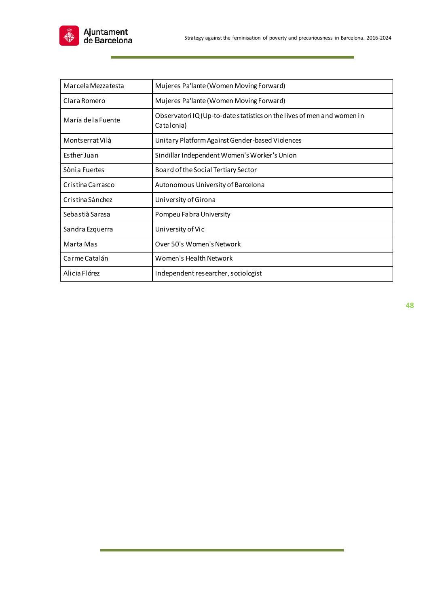

| Marcela Mezzatesta | Mujeres Pa'lante (Women Moving Forward)                                              |
|--------------------|--------------------------------------------------------------------------------------|
| Clara Romero       | Mujeres Pa'lante (Women Moving Forward)                                              |
| María de la Fuente | Observatori IQ (Up-to-date statistics on the lives of men and women in<br>Catalonia) |
| Montserrat Vilà    | Unitary Platform Against Gender-based Violences                                      |
| Esther Juan        | Sindillar Independent Women's Worker's Union                                         |
| Sònia Fuertes      | Board of the Social Tertiary Sector                                                  |
| Cristina Carrasco  | Autonomous University of Barcelona                                                   |
| Cristina Sánchez   | University of Girona                                                                 |
| Sebastià Sarasa    | Pompeu Fabra University                                                              |
| Sandra Ezquerra    | University of Vic                                                                    |
| Marta Mas          | Over 50's Women's Network                                                            |
| Carme Catalán      | Women's Health Network                                                               |
| Alicia Flórez      | Independent researcher, sociologist                                                  |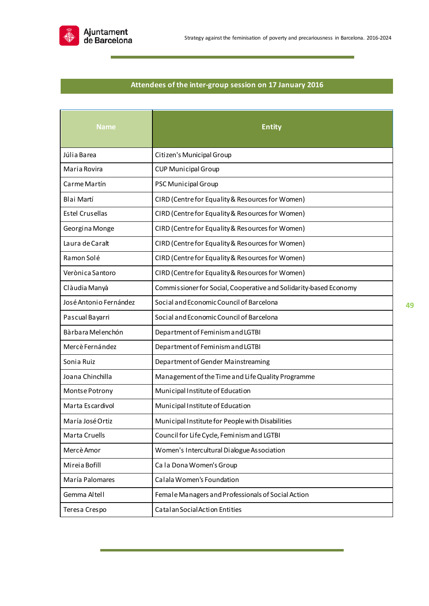## **Attendees of the inter-group session on 17 January 2016**

| <b>Name</b>            | <b>Entity</b>                                                     |
|------------------------|-------------------------------------------------------------------|
| Júlia Barea            | Citizen's Municipal Group                                         |
| Maria Rovira           | <b>CUP Municipal Group</b>                                        |
| Carme Martín           | PSC Municipal Group                                               |
| Blai Martí             | CIRD (Centre for Equality & Resources for Women)                  |
| <b>Estel Crusellas</b> | CIRD (Centre for Equality & Resources for Women)                  |
| Georgina Monge         | CIRD (Centre for Equality & Resources for Women)                  |
| Laura de Caralt        | CIRD (Centre for Equality & Resources for Women)                  |
| Ramon Solé             | CIRD (Centre for Equality & Resources for Women)                  |
| Verònica Santoro       | CIRD (Centre for Equality & Resources for Women)                  |
| Clàudia Manyà          | Commissioner for Social, Cooperative and Solidarity-based Economy |
| José Antonio Fernández | Social and Economic Council of Barcelona                          |
| Pascual Bayarri        | Social and Economic Council of Barcelona                          |
| Bàrbara Melenchón      | Department of Feminism and LGTBI                                  |
| Mercè Fernández        | Department of Feminism and LGTBI                                  |
| Sonia Ruiz             | Department of Gender Mainstreaming                                |
| Joana Chinchilla       | Management of the Time and Life Quality Programme                 |
| Montse Potrony         | Municipal Institute of Education                                  |
| Marta Escardivol       | Municipal Institute of Education                                  |
| María José Ortiz       | Municipal Institute for People with Disabilities                  |
| Marta Cruells          | Council for Life Cycle, Feminism and LGTBI                        |
| Mercè Amor             | Women's Intercultural Dialogue Association                        |
| Mireia Bofill          | Cala Dona Women's Group                                           |
| María Palomares        | Calala Women's Foundation                                         |
| Gemma Altell           | Female Managers and Professionals of Social Action                |
| Teresa Crespo          | Catal an Social Action Entities                                   |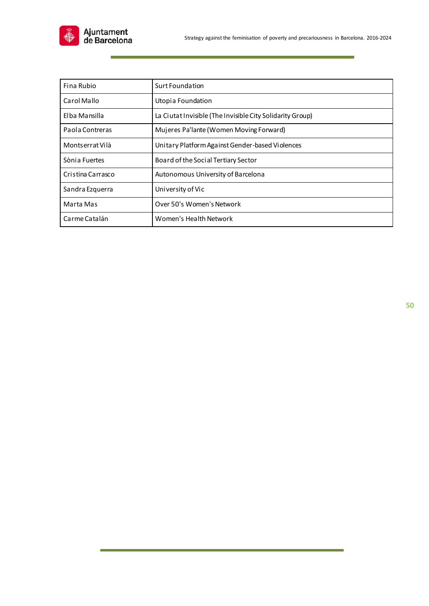

| Fina Rubio        | Surt Foundation                                           |
|-------------------|-----------------------------------------------------------|
| Carol Mallo       | Utopia Foundation                                         |
| Elba Mansilla     | La Ciutat Invisible (The Invisible City Solidarity Group) |
| Paola Contreras   | Mujeres Pa'lante (Women Moving Forward)                   |
| Monts errat Vilà  | Unitary Platform Against Gender-based Violences           |
| Sònia Fuertes     | Board of the Social Tertiary Sector                       |
| Cristina Carrasco | Autonomous University of Barcelona                        |
| Sandra Ezquerra   | University of Vic                                         |
| Marta Mas         | Over 50's Women's Network                                 |
| Carme Catalán     | Women's Health Network                                    |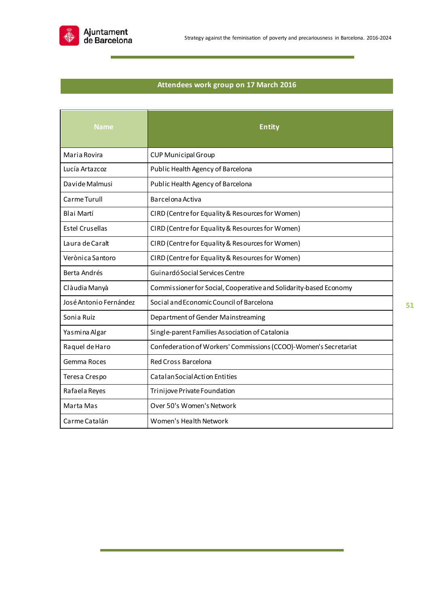

## **Attendees work group on 17 March 2016**

| <b>Name</b>            | <b>Entity</b>                                                     |
|------------------------|-------------------------------------------------------------------|
| Maria Rovira           | <b>CUP Municipal Group</b>                                        |
| Lucía Artazcoz         | Public Health Agency of Barcelona                                 |
| Davide Malmusi         | Public Health Agency of Barcelona                                 |
| Carme Turull           | Barcelona Activa                                                  |
| Blai Martí             | CIRD (Centre for Equality & Resources for Women)                  |
| <b>Estel Crusellas</b> | CIRD (Centre for Equality & Resources for Women)                  |
| Laura de Caralt        | CIRD (Centre for Equality & Resources for Women)                  |
| Verònica Santoro       | CIRD (Centre for Equality & Resources for Women)                  |
| Berta Andrés           | Guinardó Social Services Centre                                   |
| Clàudia Manyà          | Commissioner for Social, Cooperative and Solidarity-based Economy |
| José Antonio Fernández | Social and Economic Council of Barcelona                          |
| Sonia Ruiz             | Department of Gender Mainstreaming                                |
| Yasmina Algar          | Single-parent Families Association of Catalonia                   |
| Raquel de Haro         | Confederation of Workers' Commissions (CCOO)-Women's Secretariat  |
| Gemma Roces            | <b>Red Cross Barcelona</b>                                        |
| Teresa Crespo          | Catalan Social Action Entities                                    |
| Rafaela Reyes          | Trinijove Private Foundation                                      |
| Marta Mas              | Over 50's Women's Network                                         |
| Carme Catalán          | Women's Health Network                                            |